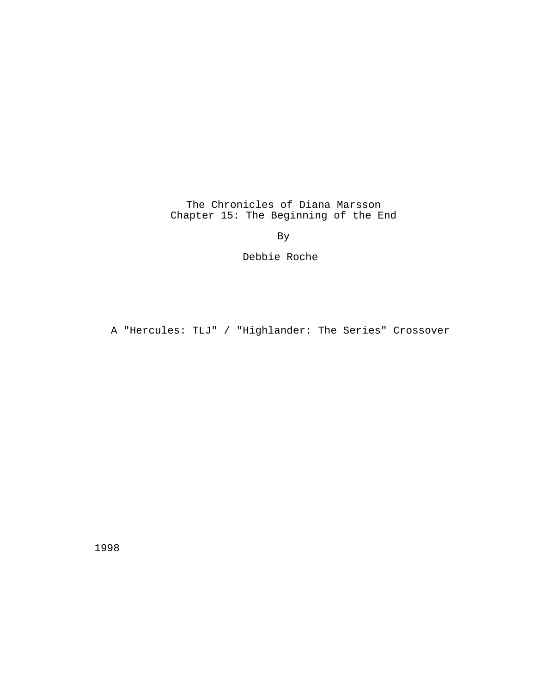The Chronicles of Diana Marsson Chapter 15: The Beginning of the End

By

Debbie Roche

A "Hercules: TLJ" / "Highlander: The Series" Crossover

1998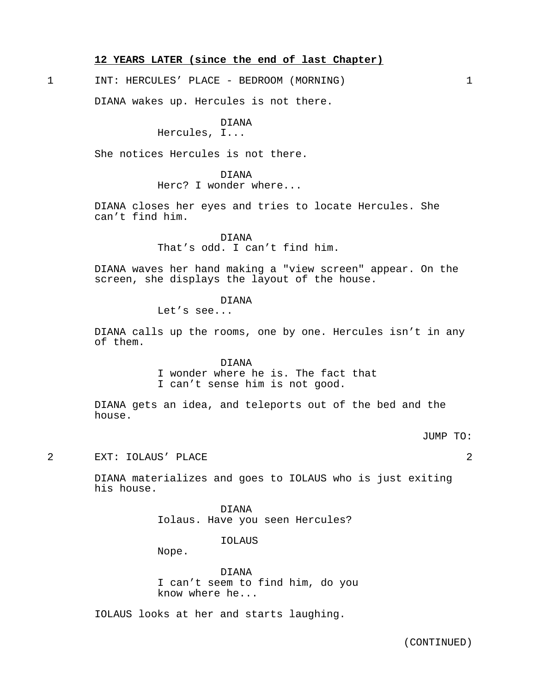# **12 YEARS LATER (since the end of last Chapter)**

1 INT: HERCULES' PLACE - BEDROOM (MORNING) 1

DIANA wakes up. Hercules is not there.

## DIANA

# Hercules, I...

She notices Hercules is not there.

# DIANA Herc? I wonder where...

DIANA closes her eyes and tries to locate Hercules. She can't find him.

> DIANA That's odd. I can't find him.

DIANA waves her hand making a "view screen" appear. On the screen, she displays the layout of the house.

## DIANA

Let's see...

DIANA calls up the rooms, one by one. Hercules isn't in any of them.

DIANA

I wonder where he is. The fact that

I can't sense him is not good.

DIANA gets an idea, and teleports out of the bed and the house.

JUMP TO:

2 EXT: IOLAUS' PLACE 2

DIANA materializes and goes to IOLAUS who is just exiting his house.

> DIANA Iolaus. Have you seen Hercules?

> > IOLAUS

Nope.

DIANA I can't seem to find him, do you know where he...

IOLAUS looks at her and starts laughing.

(CONTINUED)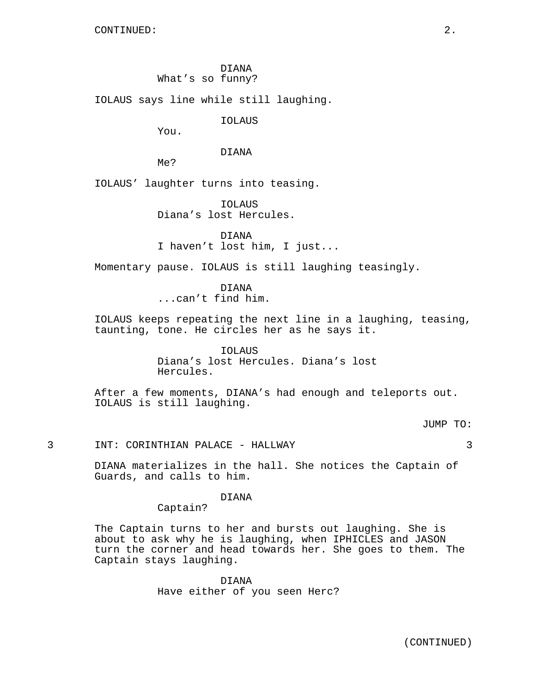DIANA

What's so funny?

IOLAUS says line while still laughing.

IOLAUS

You.

### DIANA

Me?

IOLAUS' laughter turns into teasing.

IOLAUS Diana's lost Hercules.

DIANA I haven't lost him, I just...

Momentary pause. IOLAUS is still laughing teasingly.

DIANA ...can't find him.

IOLAUS keeps repeating the next line in a laughing, teasing, taunting, tone. He circles her as he says it.

> IOLAUS Diana's lost Hercules. Diana's lost Hercules.

After a few moments, DIANA's had enough and teleports out. IOLAUS is still laughing.

JUMP TO:

3 INT: CORINTHIAN PALACE - HALLWAY 3

DIANA materializes in the hall. She notices the Captain of Guards, and calls to him.

DIANA

Captain?

The Captain turns to her and bursts out laughing. She is about to ask why he is laughing, when IPHICLES and JASON turn the corner and head towards her. She goes to them. The Captain stays laughing.

> DIANA Have either of you seen Herc?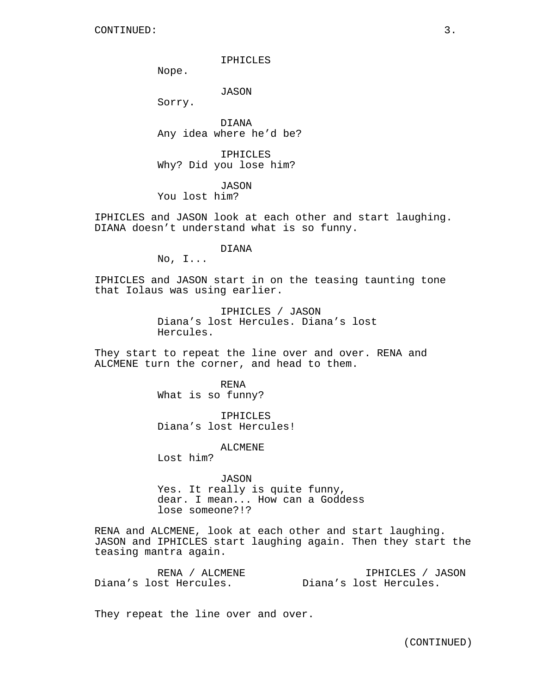IPHICLES

Nope.

JASON

Sorry.

DIANA Any idea where he'd be?

IPHICLES Why? Did you lose him?

JASON You lost him?

IPHICLES and JASON look at each other and start laughing. DIANA doesn't understand what is so funny.

DIANA

No, I...

IPHICLES and JASON start in on the teasing taunting tone that Iolaus was using earlier.

> IPHICLES / JASON Diana's lost Hercules. Diana's lost Hercules.

They start to repeat the line over and over. RENA and ALCMENE turn the corner, and head to them.

> RENA What is so funny?

IPHICLES Diana's lost Hercules!

ALCMENE

Lost him?

JASON Yes. It really is quite funny, dear. I mean... How can a Goddess lose someone?!?

RENA and ALCMENE, look at each other and start laughing. JASON and IPHICLES start laughing again. Then they start the teasing mantra again.

RENA / ALCMENE Diana's lost Hercules. IPHICLES / JASON Diana's lost Hercules.

They repeat the line over and over.

(CONTINUED)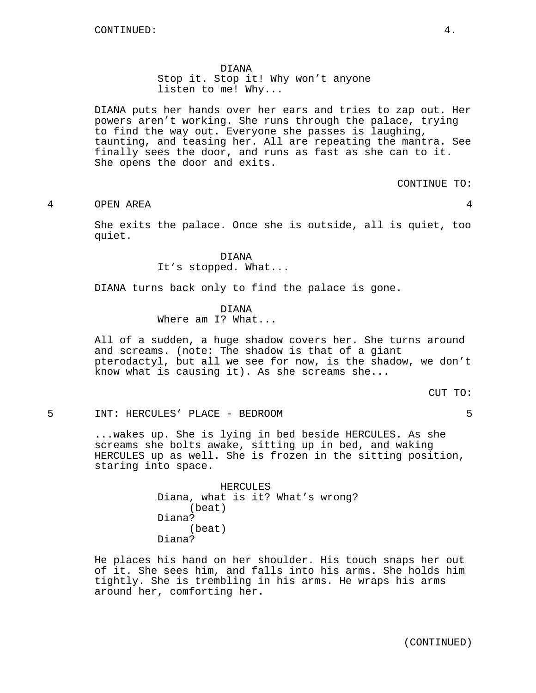#### DIANA

Stop it. Stop it! Why won't anyone listen to me! Why...

DIANA puts her hands over her ears and tries to zap out. Her powers aren't working. She runs through the palace, trying to find the way out. Everyone she passes is laughing, taunting, and teasing her. All are repeating the mantra. See finally sees the door, and runs as fast as she can to it. She opens the door and exits.

CONTINUE TO:

4 OPEN AREA 4

She exits the palace. Once she is outside, all is quiet, too quiet.

> DIANA It's stopped. What...

DIANA turns back only to find the palace is gone.

#### DIANA

Where am I? What...

All of a sudden, a huge shadow covers her. She turns around and screams. (note: The shadow is that of a giant pterodactyl, but all we see for now, is the shadow, we don't know what is causing it). As she screams she...

CUT TO:

5 INT: HERCULES' PLACE - BEDROOM 5

...wakes up. She is lying in bed beside HERCULES. As she screams she bolts awake, sitting up in bed, and waking HERCULES up as well. She is frozen in the sitting position, staring into space.

| HERCULES |  |  |  |                                  |  |
|----------|--|--|--|----------------------------------|--|
|          |  |  |  | Diana, what is it? What's wrong? |  |
| (beat)   |  |  |  |                                  |  |
| Diana?   |  |  |  |                                  |  |
| (beat)   |  |  |  |                                  |  |
| Diana?   |  |  |  |                                  |  |

He places his hand on her shoulder. His touch snaps her out of it. She sees him, and falls into his arms. She holds him tightly. She is trembling in his arms. He wraps his arms around her, comforting her.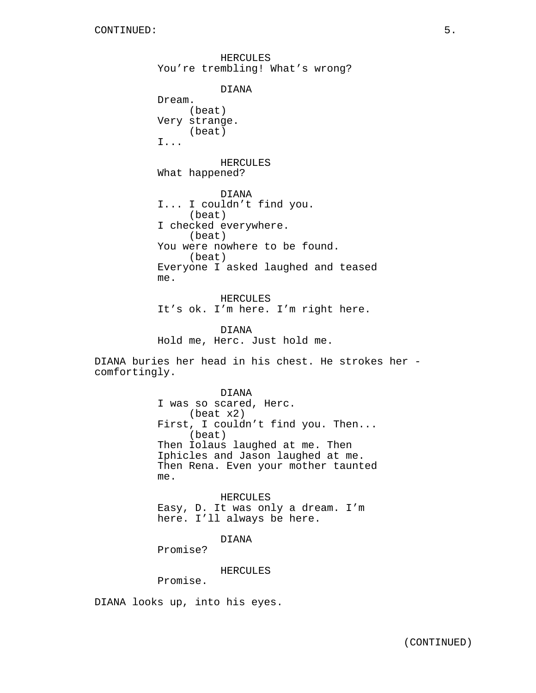HERCULES You're trembling! What's wrong? DIANA Dream. (beat) Very strange. (beat) I... HERCULES What happened? DIANA I... I couldn't find you. (beat) I checked everywhere. (beat) You were nowhere to be found. (beat) Everyone I asked laughed and teased me. HERCULES It's ok. I'm here. I'm right here. DIANA Hold me, Herc. Just hold me.

DIANA buries her head in his chest. He strokes her comfortingly.

> DIANA I was so scared, Herc. (beat x2) First, I couldn't find you. Then... (beat) Then Iolaus laughed at me. Then Iphicles and Jason laughed at me. Then Rena. Even your mother taunted me.

HERCULES Easy, D. It was only a dream. I'm here. I'll always be here.

DIANA

Promise?

HERCULES

Promise.

DIANA looks up, into his eyes.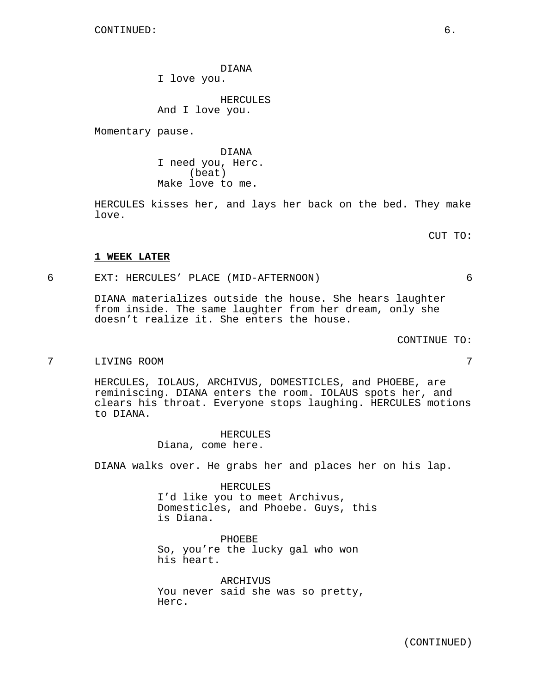DIANA

I love you.

HERCULES And I love you.

Momentary pause.

DIANA I need you, Herc. (beat) Make love to me.

HERCULES kisses her, and lays her back on the bed. They make love.

CUT TO:

# **1 WEEK LATER**

6 EXT: HERCULES' PLACE (MID-AFTERNOON) 6

DIANA materializes outside the house. She hears laughter from inside. The same laughter from her dream, only she doesn't realize it. She enters the house.

CONTINUE TO:

7 LIVING ROOM 7

HERCULES, IOLAUS, ARCHIVUS, DOMESTICLES, and PHOEBE, are reminiscing. DIANA enters the room. IOLAUS spots her, and clears his throat. Everyone stops laughing. HERCULES motions to DIANA.

> HERCULES Diana, come here.

DIANA walks over. He grabs her and places her on his lap.

HERCULES I'd like you to meet Archivus, Domesticles, and Phoebe. Guys, this is Diana.

PHOEBE So, you're the lucky gal who won his heart.

ARCHIVUS You never said she was so pretty, Herc.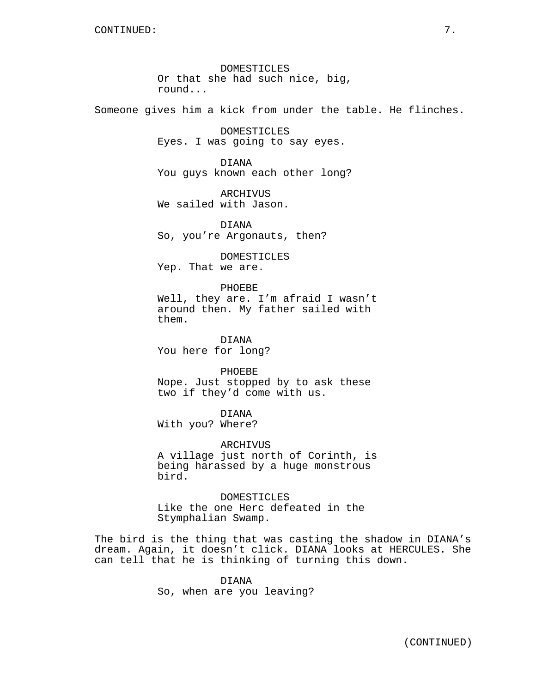DOMESTICLES Or that she had such nice, big, round...

Someone gives him a kick from under the table. He flinches.

DOMESTICLES Eyes. I was going to say eyes.

DIANA You guys known each other long?

ARCHIVUS We sailed with Jason.

DIANA So, you're Argonauts, then?

DOMESTICLES Yep. That we are.

## PHOEBE

Well, they are. I'm afraid I wasn't around then. My father sailed with them.

DIANA You here for long?

PHOEBE Nope. Just stopped by to ask these two if they'd come with us.

DIANA

With you? Where?

ARCHIVUS

A village just north of Corinth, is being harassed by a huge monstrous bird.

**DOMESTICLES** Like the one Herc defeated in the Stymphalian Swamp.

The bird is the thing that was casting the shadow in DIANA's dream. Again, it doesn't click. DIANA looks at HERCULES. She can tell that he is thinking of turning this down.

> DIANA So, when are you leaving?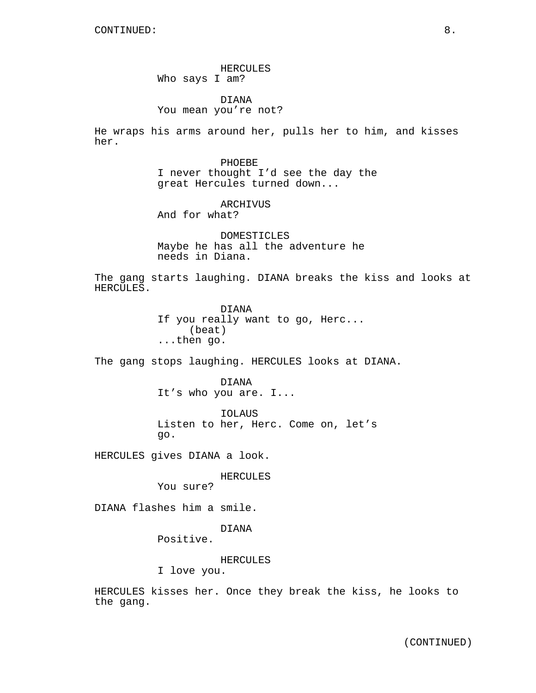HERCULES Who says I am?

DIANA You mean you're not?

He wraps his arms around her, pulls her to him, and kisses her.

> PHOEBE I never thought I'd see the day the great Hercules turned down...

ARCHIVUS And for what?

DOMESTICLES Maybe he has all the adventure he needs in Diana.

The gang starts laughing. DIANA breaks the kiss and looks at HERCULES.

> DIANA If you really want to go, Herc... (beat) ...then go.

The gang stops laughing. HERCULES looks at DIANA.

DIANA It's who you are. I...

IOLAUS Listen to her, Herc. Come on, let's go.

HERCULES gives DIANA a look.

HERCULES

You sure?

DIANA flashes him a smile.

## DIANA

Positive.

#### HERCULES

I love you.

HERCULES kisses her. Once they break the kiss, he looks to the gang.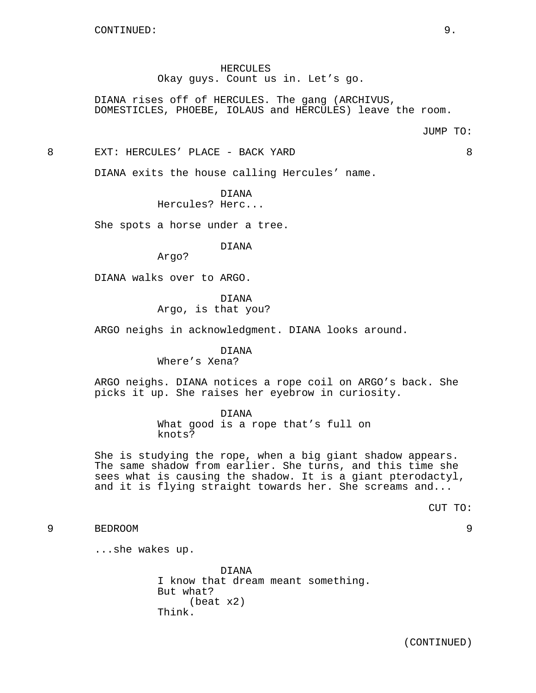HERCULES Okay guys. Count us in. Let's go.

DIANA rises off of HERCULES. The gang (ARCHIVUS, DOMESTICLES, PHOEBE, IOLAUS and HERCULES) leave the room.

8 EXT: HERCULES' PLACE - BACK YARD 8

DIANA exits the house calling Hercules' name.

DIANA Hercules? Herc...

She spots a horse under a tree.

DIANA

Argo?

DIANA walks over to ARGO.

DIANA

Argo, is that you?

ARGO neighs in acknowledgment. DIANA looks around.

DIANA

Where's Xena?

ARGO neighs. DIANA notices a rope coil on ARGO's back. She picks it up. She raises her eyebrow in curiosity.

DIANA

What good is a rope that's full on knots?

She is studying the rope, when a big giant shadow appears. The same shadow from earlier. She turns, and this time she sees what is causing the shadow. It is a giant pterodactyl, and it is flying straight towards her. She screams and...

CUT TO:

```
9 BEDROOM 9
```
...she wakes up.

DIANA I know that dream meant something. But what? (beat x2) Think.

(CONTINUED)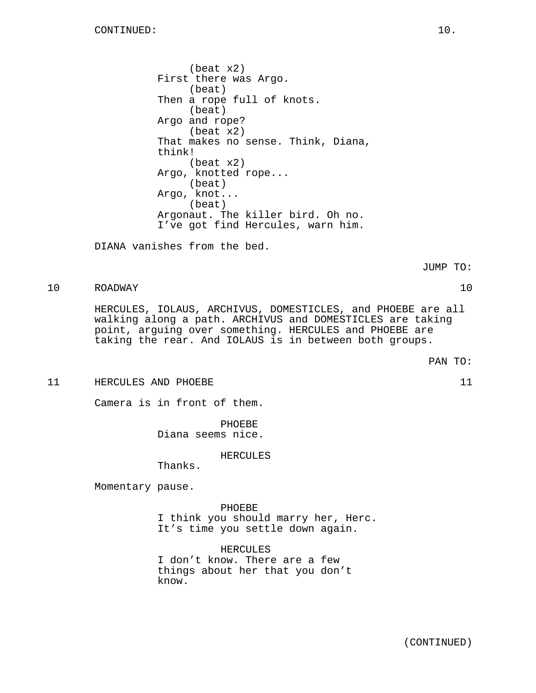(beat x2) First there was Argo. (beat) Then a rope full of knots. (beat) Argo and rope? (beat x2) That makes no sense. Think, Diana, think! (beat x2) Argo, knotted rope... (beat) Argo, knot... (beat) Argonaut. The killer bird. Oh no. I've got find Hercules, warn him.

DIANA vanishes from the bed.

JUMP TO:

# 10 ROADWAY 10

HERCULES, IOLAUS, ARCHIVUS, DOMESTICLES, and PHOEBE are all walking along a path. ARCHIVUS and DOMESTICLES are taking point, arguing over something. HERCULES and PHOEBE are taking the rear. And IOLAUS is in between both groups.

PAN TO:

11 HERCULES AND PHOEBE 11

Camera is in front of them.

PHOEBE Diana seems nice.

## HERCULES

Thanks.

Momentary pause.

PHOEBE I think you should marry her, Herc. It's time you settle down again.

HERCULES I don't know. There are a few things about her that you don't know.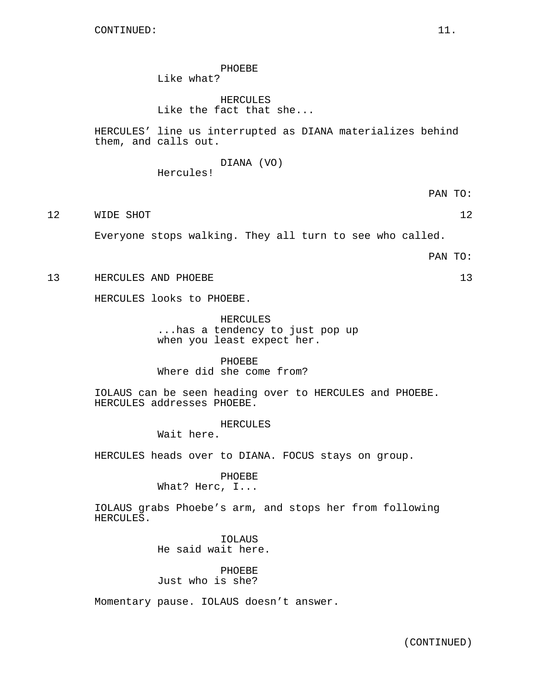PHOEBE Like what?

HERCULES Like the fact that she...

HERCULES' line us interrupted as DIANA materializes behind them, and calls out.

> DIANA (VO) Hercules!

12 WIDE SHOT 12

Everyone stops walking. They all turn to see who called.

PAN TO:

13 HERCULES AND PHOEBE 13

HERCULES looks to PHOEBE.

HERCULES ...has a tendency to just pop up when you least expect her.

PHOEBE Where did she come from?

IOLAUS can be seen heading over to HERCULES and PHOEBE. HERCULES addresses PHOEBE.

HERCULES

Wait here.

HERCULES heads over to DIANA. FOCUS stays on group.

PHOEBE What? Herc, I...

IOLAUS grabs Phoebe's arm, and stops her from following HERCULES.

> IOLAUS He said wait here.

PHOEBE Just who is she?

Momentary pause. IOLAUS doesn't answer.

(CONTINUED)

PAN TO: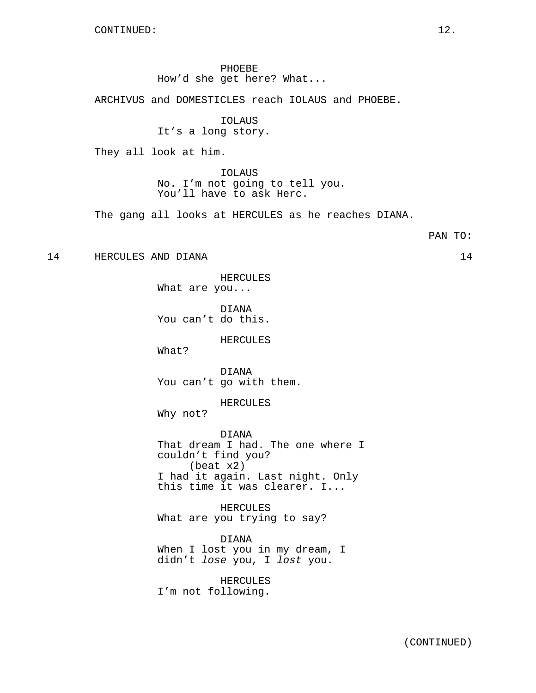CONTINUED: 12.

PHOEBE How'd she get here? What...

ARCHIVUS and DOMESTICLES reach IOLAUS and PHOEBE.

IOLAUS It's a long story.

They all look at him.

IOLAUS No. I'm not going to tell you. You'll have to ask Herc.

The gang all looks at HERCULES as he reaches DIANA.

## PAN TO:

14 HERCULES AND DIANA 14

HERCULES What are you...

DIANA You can't do this.

HERCULES

What?

DIANA You can't go with them.

HERCULES

Why not?

DIANA That dream I had. The one where I couldn't find you? (beat x2) I had it again. Last night. Only this time it was clearer. I...

HERCULES What are you trying to say?

DIANA When I lost you in my dream, I didn't lose you, I lost you.

HERCULES I'm not following.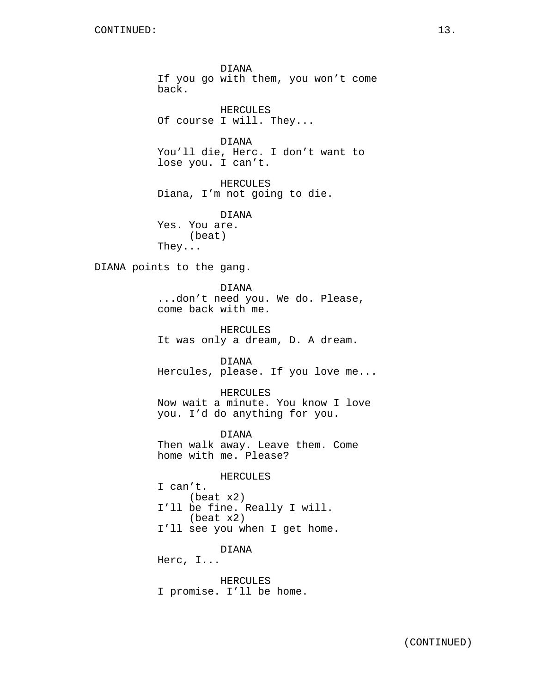DIANA If you go with them, you won't come back. HERCULES Of course I will. They...

DIANA You'll die, Herc. I don't want to lose you. I can't.

HERCULES Diana, I'm not going to die.

DIANA Yes. You are. (beat) They...

DIANA points to the gang.

DIANA ...don't need you. We do. Please, come back with me.

HERCULES It was only a dream, D. A dream.

DIANA Hercules, please. If you love me...

HERCULES Now wait a minute. You know I love you. I'd do anything for you.

DIANA Then walk away. Leave them. Come home with me. Please?

HERCULES

I can't. (beat x2) I'll be fine. Really I will. (beat x2) I'll see you when I get home.

DIANA

Herc, I...

HERCULES I promise. I'll be home.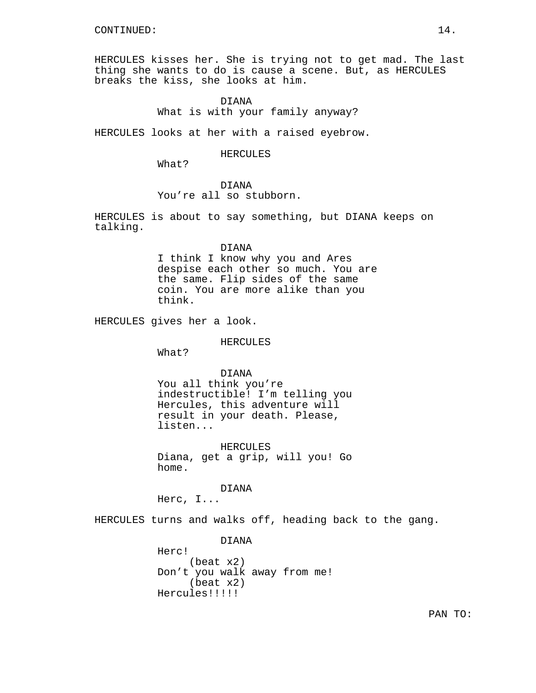HERCULES kisses her. She is trying not to get mad. The last thing she wants to do is cause a scene. But, as HERCULES breaks the kiss, she looks at him.

## DIANA

What is with your family anyway?

HERCULES looks at her with a raised eyebrow.

### HERCULES

What?

# DIANA

You're all so stubborn.

HERCULES is about to say something, but DIANA keeps on talking.

## DIANA

I think I know why you and Ares despise each other so much. You are the same. Flip sides of the same coin. You are more alike than you think.

HERCULES gives her a look.

## HERCULES

What?

DIANA

You all think you're indestructible! I'm telling you Hercules, this adventure will result in your death. Please, listen...

HERCULES Diana, get a grip, will you! Go home.

DIANA Herc, I...

HERCULES turns and walks off, heading back to the gang.

DIANA Herc! (beat x2) Don't you walk away from me! (beat x2) Hercules!!!!!

PAN TO: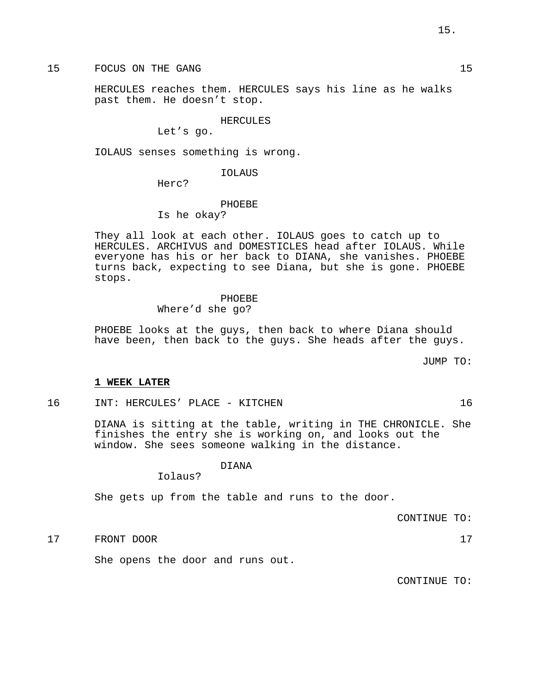15 FOCUS ON THE GANG 15

HERCULES reaches them. HERCULES says his line as he walks past them. He doesn't stop.

HERCULES

Let's go.

IOLAUS senses something is wrong.

IOLAUS

Herc?

PHOEBE Is he okay?

They all look at each other. IOLAUS goes to catch up to HERCULES. ARCHIVUS and DOMESTICLES head after IOLAUS. While everyone has his or her back to DIANA, she vanishes. PHOEBE turns back, expecting to see Diana, but she is gone. PHOEBE stops.

# PHOEBE

Where'd she go?

PHOEBE looks at the guys, then back to where Diana should have been, then back to the guys. She heads after the guys.

JUMP TO:

## **1 WEEK LATER**

16 INT: HERCULES' PLACE - KITCHEN 16

DIANA is sitting at the table, writing in THE CHRONICLE. She finishes the entry she is working on, and looks out the window. She sees someone walking in the distance.

### DIANA

Iolaus?

She gets up from the table and runs to the door.

CONTINUE TO:

17 FRONT DOOR 17

She opens the door and runs out.

CONTINUE TO: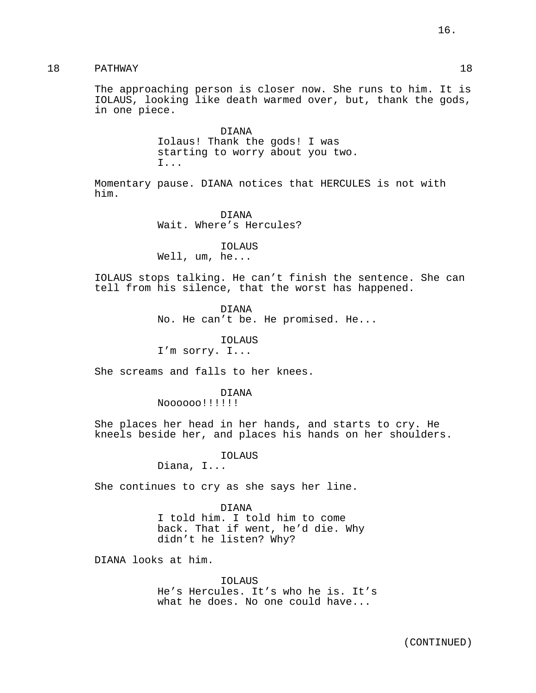18 PATHWAY 18

The approaching person is closer now. She runs to him. It is IOLAUS, looking like death warmed over, but, thank the gods, in one piece.

> DIANA Iolaus! Thank the gods! I was starting to worry about you two. I...

Momentary pause. DIANA notices that HERCULES is not with him.

> DIANA Wait. Where's Hercules?

IOLAUS Well, um, he...

IOLAUS stops talking. He can't finish the sentence. She can tell from his silence, that the worst has happened.

> DIANA No. He can't be. He promised. He...

> > IOLAUS

I'm sorry. I...

She screams and falls to her knees.

DIANA

Noooooo!!!!!!

She places her head in her hands, and starts to cry. He kneels beside her, and places his hands on her shoulders.

> IOLAUS Diana, I...

She continues to cry as she says her line.

DIANA I told him. I told him to come back. That if went, he'd die. Why didn't he listen? Why?

DIANA looks at him.

IOLAUS He's Hercules. It's who he is. It's what he does. No one could have...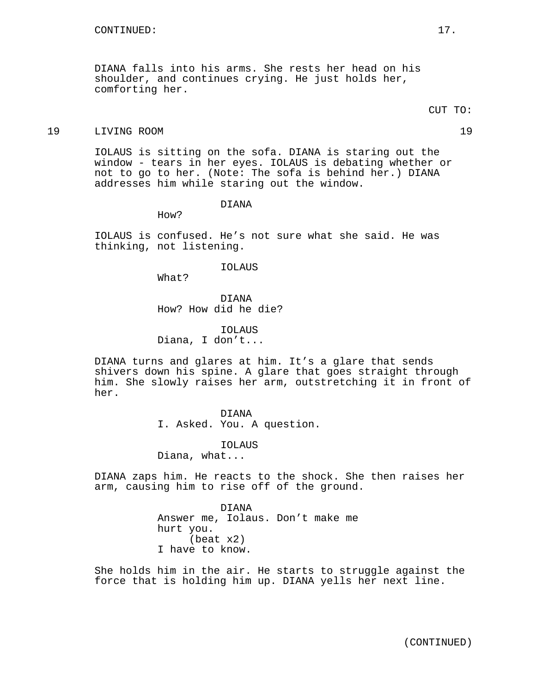DIANA falls into his arms. She rests her head on his shoulder, and continues crying. He just holds her, comforting her.

# 19 LIVING ROOM 19

IOLAUS is sitting on the sofa. DIANA is staring out the window - tears in her eyes. IOLAUS is debating whether or not to go to her. (Note: The sofa is behind her.) DIANA addresses him while staring out the window.

DIANA

How?

IOLAUS is confused. He's not sure what she said. He was thinking, not listening.

#### IOLAUS

What?

DIANA How? How did he die?

IOLAUS Diana, I don't...

DIANA turns and glares at him. It's a glare that sends shivers down his spine. A glare that goes straight through him. She slowly raises her arm, outstretching it in front of her.

# DIANA

I. Asked. You. A question.

IOLAUS

Diana, what...

DIANA zaps him. He reacts to the shock. She then raises her arm, causing him to rise off of the ground.

> DIANA Answer me, Iolaus. Don't make me hurt you. (beat x2) I have to know.

She holds him in the air. He starts to struggle against the force that is holding him up. DIANA yells her next line.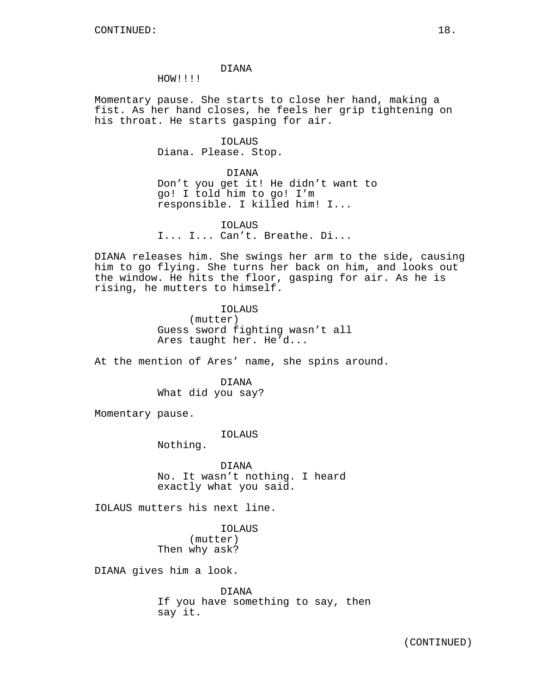# DIANA

HOW!!!!

Momentary pause. She starts to close her hand, making a fist. As her hand closes, he feels her grip tightening on his throat. He starts gasping for air.

> IOLAUS Diana. Please. Stop.

> > DIANA

Don't you get it! He didn't want to go! I told him to go! I'm responsible. I killed him! I...

IOLAUS I... I... Can't. Breathe. Di...

DIANA releases him. She swings her arm to the side, causing him to go flying. She turns her back on him, and looks out the window. He hits the floor, gasping for air. As he is rising, he mutters to himself.

> IOLAUS (mutter) Guess sword fighting wasn't all Ares taught her. He'd...

At the mention of Ares' name, she spins around.

DIANA What did you say?

Momentary pause.

IOLAUS

Nothing.

DIANA No. It wasn't nothing. I heard exactly what you said.

IOLAUS mutters his next line.

IOLAUS (mutter) Then why ask?

DIANA gives him a look.

DIANA If you have something to say, then say it.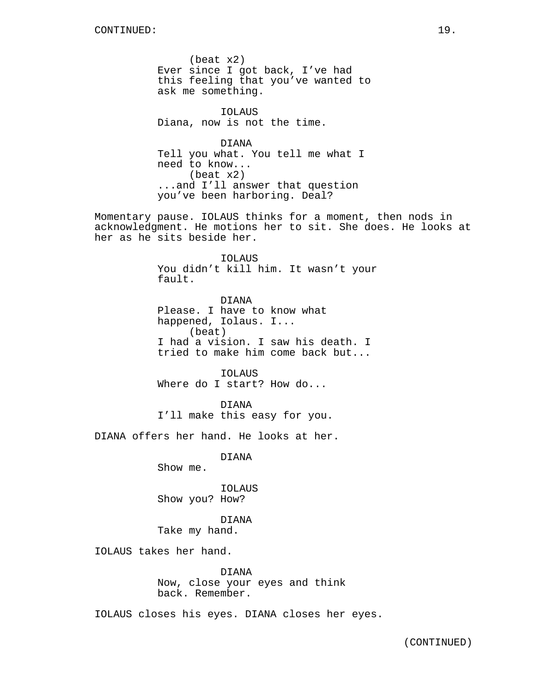(beat x2) Ever since I got back, I've had this feeling that you've wanted to ask me something.

IOLAUS Diana, now is not the time.

DIANA Tell you what. You tell me what I need to know... (beat x2) ...and I'll answer that question you've been harboring. Deal?

Momentary pause. IOLAUS thinks for a moment, then nods in acknowledgment. He motions her to sit. She does. He looks at her as he sits beside her.

> IOLAUS You didn't kill him. It wasn't your fault.

DIANA Please. I have to know what happened, Iolaus. I... (beat) I had a vision. I saw his death. I tried to make him come back but...

IOLAUS Where do I start? How do...

DIANA I'll make this easy for you.

DIANA offers her hand. He looks at her.

DIANA

Show me.

IOLAUS Show you? How?

DIANA Take my hand.

IOLAUS takes her hand.

DIANA Now, close your eyes and think back. Remember.

IOLAUS closes his eyes. DIANA closes her eyes.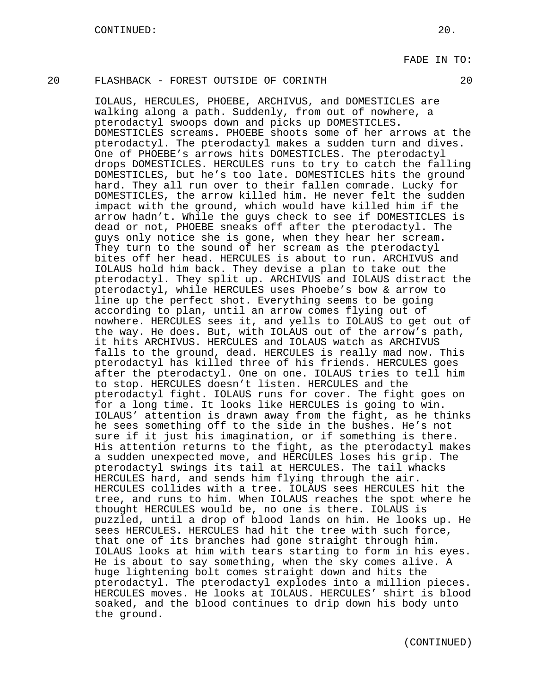# 20 FLASHBACK - FOREST OUTSIDE OF CORINTH 20

IOLAUS, HERCULES, PHOEBE, ARCHIVUS, and DOMESTICLES are walking along a path. Suddenly, from out of nowhere, a pterodactyl swoops down and picks up DOMESTICLES. DOMESTICLES screams. PHOEBE shoots some of her arrows at the pterodactyl. The pterodactyl makes a sudden turn and dives. One of PHOEBE's arrows hits DOMESTICLES. The pterodactyl drops DOMESTICLES. HERCULES runs to try to catch the falling DOMESTICLES, but he's too late. DOMESTICLES hits the ground hard. They all run over to their fallen comrade. Lucky for DOMESTICLES, the arrow killed him. He never felt the sudden impact with the ground, which would have killed him if the arrow hadn't. While the guys check to see if DOMESTICLES is dead or not, PHOEBE sneaks off after the pterodactyl. The guys only notice she is gone, when they hear her scream. They turn to the sound of her scream as the pterodactyl bites off her head. HERCULES is about to run. ARCHIVUS and IOLAUS hold him back. They devise a plan to take out the pterodactyl. They split up. ARCHIVUS and IOLAUS distract the pterodactyl, while HERCULES uses Phoebe's bow & arrow to line up the perfect shot. Everything seems to be going according to plan, until an arrow comes flying out of nowhere. HERCULES sees it, and yells to IOLAUS to get out of the way. He does. But, with IOLAUS out of the arrow's path, it hits ARCHIVUS. HERCULES and IOLAUS watch as ARCHIVUS falls to the ground, dead. HERCULES is really mad now. This pterodactyl has killed three of his friends. HERCULES goes after the pterodactyl. One on one. IOLAUS tries to tell him to stop. HERCULES doesn't listen. HERCULES and the pterodactyl fight. IOLAUS runs for cover. The fight goes on for a long time. It looks like HERCULES is going to win. IOLAUS' attention is drawn away from the fight, as he thinks he sees something off to the side in the bushes. He's not sure if it just his imagination, or if something is there. His attention returns to the fight, as the pterodactyl makes a sudden unexpected move, and HERCULES loses his grip. The pterodactyl swings its tail at HERCULES. The tail whacks HERCULES hard, and sends him flying through the air. HERCULES collides with a tree. IOLAUS sees HERCULES hit the tree, and runs to him. When IOLAUS reaches the spot where he thought HERCULES would be, no one is there. IOLAUS is puzzled, until a drop of blood lands on him. He looks up. He sees HERCULES. HERCULES had hit the tree with such force, that one of its branches had gone straight through him. IOLAUS looks at him with tears starting to form in his eyes. He is about to say something, when the sky comes alive. A huge lightening bolt comes straight down and hits the pterodactyl. The pterodactyl explodes into a million pieces. HERCULES moves. He looks at IOLAUS. HERCULES' shirt is blood soaked, and the blood continues to drip down his body unto the ground.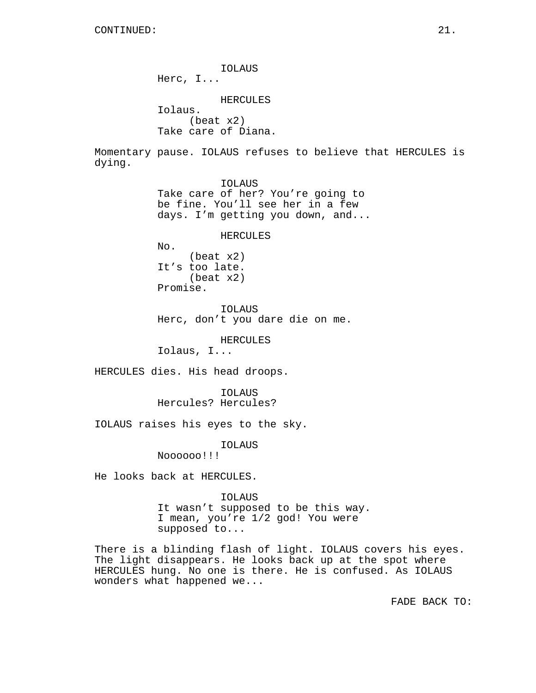IOLAUS Herc, I... HERCULES Iolaus. (beat x2) Take care of Diana. Momentary pause. IOLAUS refuses to believe that HERCULES is dying. IOLAUS Take care of her? You're going to be fine. You'll see her in a few days. I'm getting you down, and... HERCULES No. (beat x2) It's too late. (beat x2) Promise. IOLAUS Herc, don't you dare die on me. HERCULES Iolaus, I... HERCULES dies. His head droops. IOLAUS Hercules? Hercules? IOLAUS raises his eyes to the sky. IOLAUS Noooooo!!! He looks back at HERCULES. IOLAUS It wasn't supposed to be this way. I mean, you're 1/2 god! You were supposed to...

There is a blinding flash of light. IOLAUS covers his eyes. The light disappears. He looks back up at the spot where HERCULES hung. No one is there. He is confused. As IOLAUS wonders what happened we...

FADE BACK TO: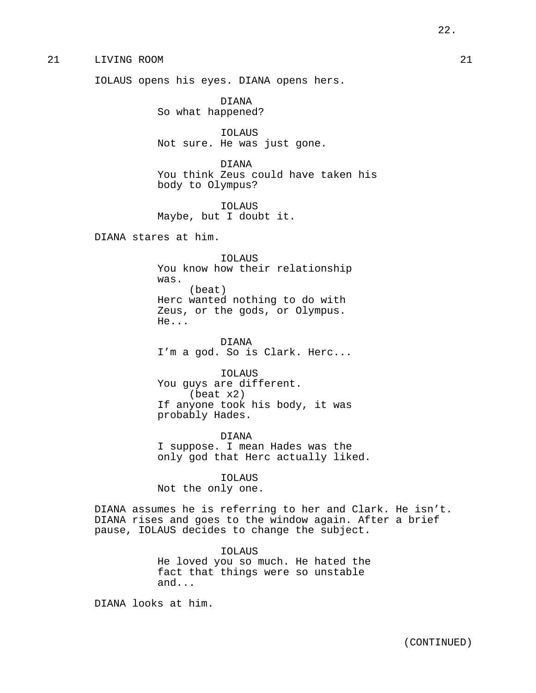# 21 LIVING ROOM 21

IOLAUS opens his eyes. DIANA opens hers.

DIANA So what happened?

IOLAUS Not sure. He was just gone.

DIANA You think Zeus could have taken his body to Olympus?

IOLAUS Maybe, but I doubt it.

DIANA stares at him.

IOLAUS You know how their relationship was. (beat) Herc wanted nothing to do with Zeus, or the gods, or Olympus. He...

DIANA I'm a god. So is Clark. Herc...

IOLAUS You guys are different. (beat x2) If anyone took his body, it was probably Hades.

DIANA I suppose. I mean Hades was the only god that Herc actually liked.

IOLAUS Not the only one.

DIANA assumes he is referring to her and Clark. He isn't. DIANA rises and goes to the window again. After a brief pause, IOLAUS decides to change the subject.

> IOLAUS He loved you so much. He hated the fact that things were so unstable and...

DIANA looks at him.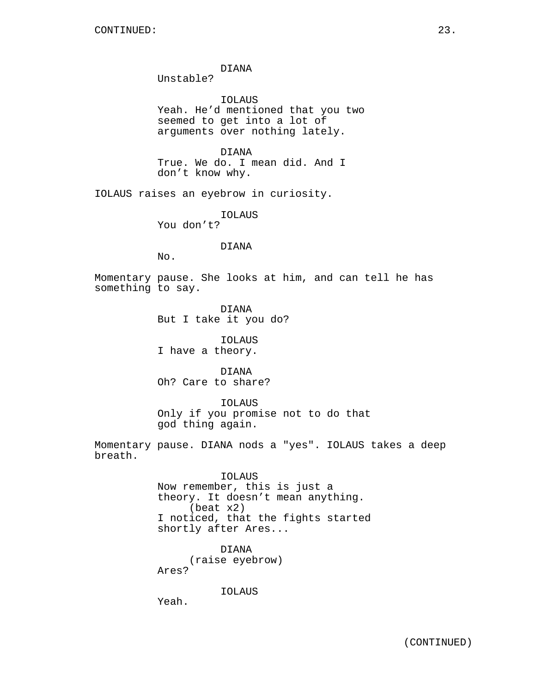DIANA

Unstable?

IOLAUS Yeah. He'd mentioned that you two seemed to get into a lot of arguments over nothing lately.

DIANA True. We do. I mean did. And I don't know why.

IOLAUS raises an eyebrow in curiosity.

IOLAUS You don't?

DIANA

No.

Momentary pause. She looks at him, and can tell he has something to say.

> DIANA But I take it you do?

IOLAUS I have a theory.

DIANA Oh? Care to share?

IOLAUS Only if you promise not to do that god thing again.

Momentary pause. DIANA nods a "yes". IOLAUS takes a deep breath.

> IOLAUS Now remember, this is just a theory. It doesn't mean anything. (beat x2) I noticed, that the fights started shortly after Ares...

DIANA (raise eyebrow) Ares?

IOLAUS

Yeah.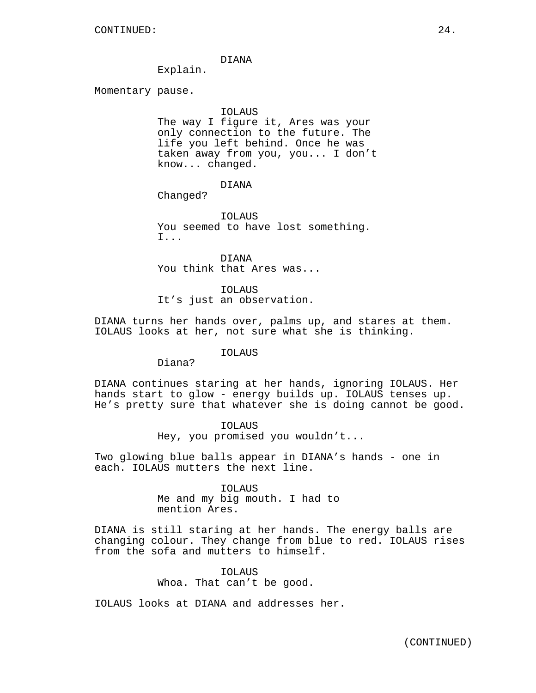## DIANA

Explain.

Momentary pause.

## IOLAUS

The way I figure it, Ares was your only connection to the future. The life you left behind. Once he was taken away from you, you... I don't know... changed.

DIANA

Changed?

IOLAUS You seemed to have lost something. I...

DIANA You think that Ares was...

IOLAUS It's just an observation.

DIANA turns her hands over, palms up, and stares at them. IOLAUS looks at her, not sure what she is thinking.

## IOLAUS

Diana?

DIANA continues staring at her hands, ignoring IOLAUS. Her hands start to glow - energy builds up. IOLAUS tenses up. He's pretty sure that whatever she is doing cannot be good.

> IOLAUS Hey, you promised you wouldn't...

Two glowing blue balls appear in DIANA's hands - one in each. IOLAUS mutters the next line.

IOLAUS

Me and my big mouth. I had to mention Ares.

DIANA is still staring at her hands. The energy balls are changing colour. They change from blue to red. IOLAUS rises from the sofa and mutters to himself.

> IOLAUS Whoa. That can't be good.

IOLAUS looks at DIANA and addresses her.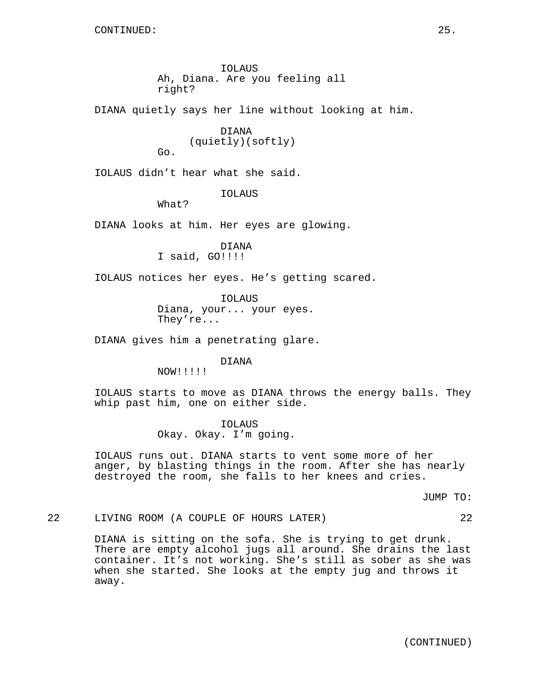IOLAUS Ah, Diana. Are you feeling all right?

DIANA quietly says her line without looking at him.

DIANA (quietly)(softly) Go.

IOLAUS didn't hear what she said.

IOLAUS

What?

DIANA looks at him. Her eyes are glowing.

DIANA I said, GO!!!!

IOLAUS notices her eyes. He's getting scared.

IOLAUS Diana, your... your eyes. They're...

DIANA gives him a penetrating glare.

DIANA

NOW!!!!!

IOLAUS starts to move as DIANA throws the energy balls. They whip past him, one on either side.

> IOLAUS Okay. Okay. I'm going.

IOLAUS runs out. DIANA starts to vent some more of her anger, by blasting things in the room. After she has nearly destroyed the room, she falls to her knees and cries.

JUMP TO:

22 LIVING ROOM (A COUPLE OF HOURS LATER) 22

DIANA is sitting on the sofa. She is trying to get drunk. There are empty alcohol jugs all around. She drains the last container. It's not working. She's still as sober as she was when she started. She looks at the empty jug and throws it away.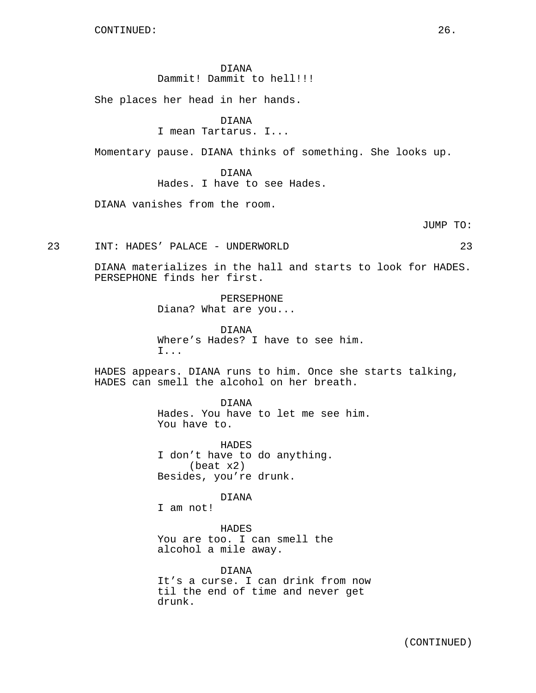DIANA Dammit! Dammit to hell!!!!

She places her head in her hands.

DIANA

I mean Tartarus. I...

Momentary pause. DIANA thinks of something. She looks up.

DIANA Hades. I have to see Hades.

DIANA vanishes from the room.

JUMP TO:

23 INT: HADES' PALACE - UNDERWORLD 23

DIANA materializes in the hall and starts to look for HADES. PERSEPHONE finds her first.

> PERSEPHONE Diana? What are you...

DIANA Where's Hades? I have to see him. I...

HADES appears. DIANA runs to him. Once she starts talking, HADES can smell the alcohol on her breath.

> DIANA Hades. You have to let me see him. You have to.

HADES I don't have to do anything. (beat x2) Besides, you're drunk.

DIANA

I am not!

HADES You are too. I can smell the alcohol a mile away.

DIANA It's a curse. I can drink from now til the end of time and never get drunk.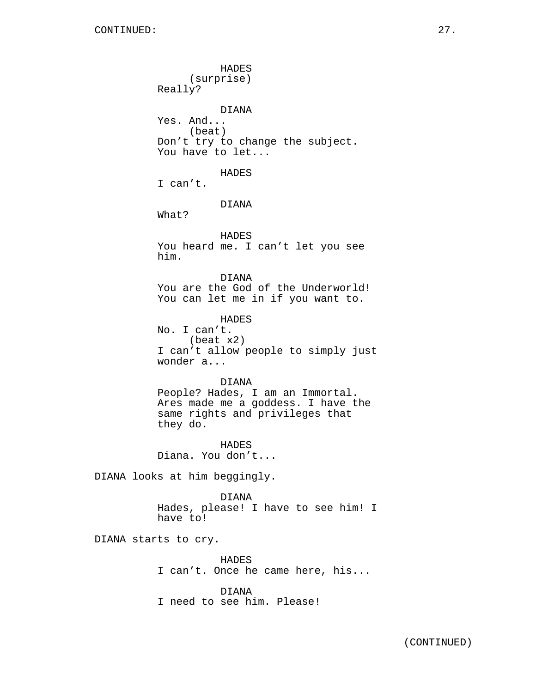HADES (surprise) Really? DIANA Yes. And... (beat) Don't try to change the subject. You have to let... HADES I can't. DIANA What? HADES You heard me. I can't let you see him. DIANA You are the God of the Underworld! You can let me in if you want to. HADES No. I can't. (beat x2) I can't allow people to simply just wonder a... DIANA People? Hades, I am an Immortal. Ares made me a goddess. I have the same rights and privileges that they do. HADES Diana. You don't... DIANA looks at him beggingly. DIANA Hades, please! I have to see him! I have to! DIANA starts to cry. HADES

I can't. Once he came here, his... DIANA

I need to see him. Please!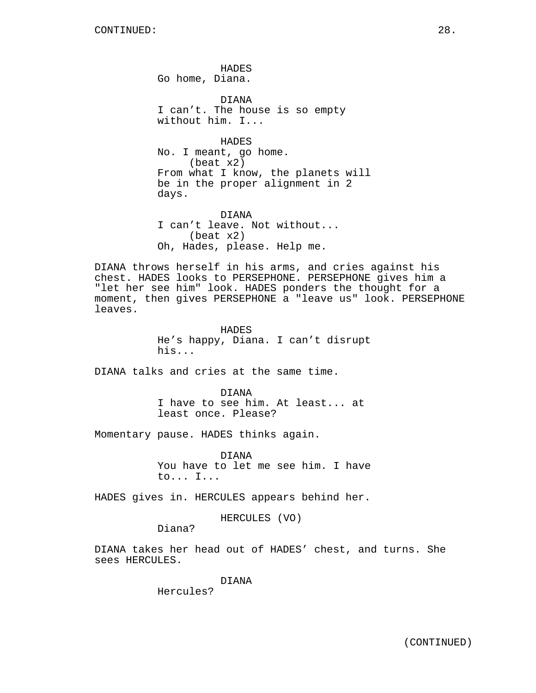HADES Go home, Diana.

DIANA I can't. The house is so empty without him. I...

**HADES** No. I meant, go home. (beat x2) From what I know, the planets will be in the proper alignment in 2 days.

DIANA I can't leave. Not without... (beat x2) Oh, Hades, please. Help me.

DIANA throws herself in his arms, and cries against his chest. HADES looks to PERSEPHONE. PERSEPHONE gives him a "let her see him" look. HADES ponders the thought for a moment, then gives PERSEPHONE a "leave us" look. PERSEPHONE leaves.

> HADES He's happy, Diana. I can't disrupt his...

DIANA talks and cries at the same time.

DIANA I have to see him. At least... at least once. Please?

Momentary pause. HADES thinks again.

DIANA You have to let me see him. I have to... I...

HADES gives in. HERCULES appears behind her.

HERCULES (VO)

Diana?

DIANA takes her head out of HADES' chest, and turns. She sees HERCULES.

DIANA

Hercules?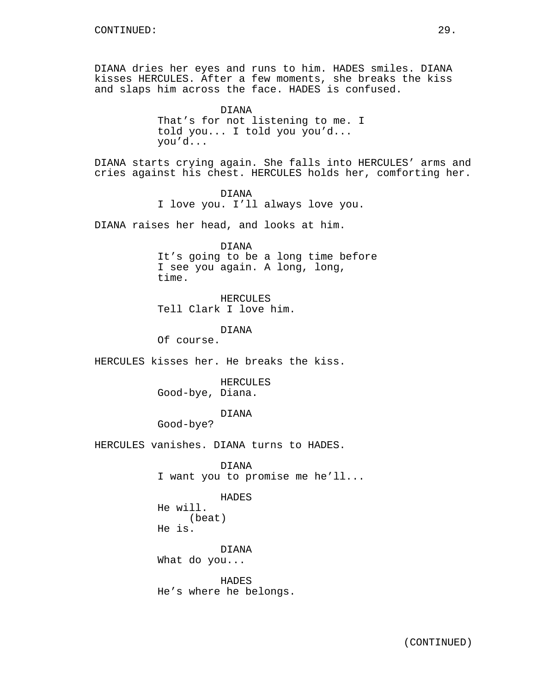DIANA dries her eyes and runs to him. HADES smiles. DIANA kisses HERCULES. After a few moments, she breaks the kiss and slaps him across the face. HADES is confused.

> DIANA That's for not listening to me. I told you... I told you you'd... you'd...

DIANA starts crying again. She falls into HERCULES' arms and cries against his chest. HERCULES holds her, comforting her.

> DIANA I love you. I'll always love you.

DIANA raises her head, and looks at him.

DIANA It's going to be a long time before I see you again. A long, long, time.

HERCULES Tell Clark I love him.

DIANA

Of course.

HERCULES kisses her. He breaks the kiss.

HERCULES Good-bye, Diana.

DIANA

Good-bye?

HERCULES vanishes. DIANA turns to HADES.

DIANA I want you to promise me he'll...

HADES He will. (beat) He is.

DIANA What do you...

HADES He's where he belongs.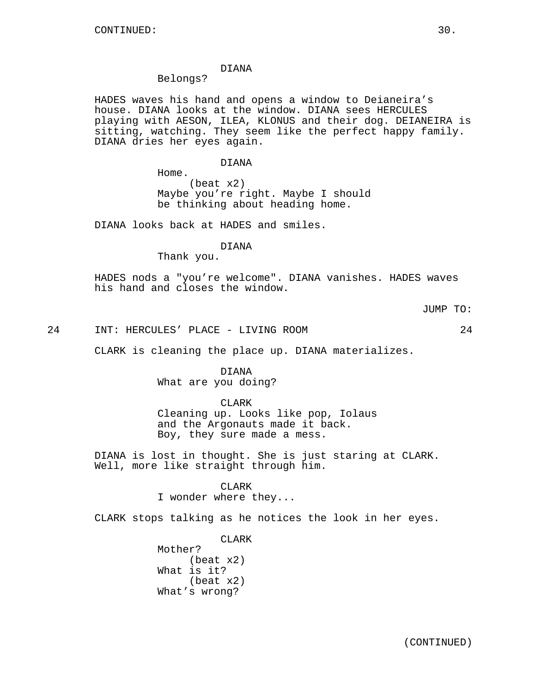# DIANA

# Belongs?

HADES waves his hand and opens a window to Deianeira's house. DIANA looks at the window. DIANA sees HERCULES playing with AESON, ILEA, KLONUS and their dog. DEIANEIRA is sitting, watching. They seem like the perfect happy family. DIANA dries her eyes again.

### DIANA

Home.

(beat x2) Maybe you're right. Maybe I should be thinking about heading home.

DIANA looks back at HADES and smiles.

# DIANA

Thank you.

HADES nods a "you're welcome". DIANA vanishes. HADES waves his hand and closes the window.

## JUMP TO:

24 INT: HERCULES' PLACE - LIVING ROOM 24

CLARK is cleaning the place up. DIANA materializes.

DIANA What are you doing?

CLARK

Cleaning up. Looks like pop, Iolaus and the Argonauts made it back. Boy, they sure made a mess.

DIANA is lost in thought. She is just staring at CLARK. Well, more like straight through him.

### CLARK

I wonder where they...

CLARK stops talking as he notices the look in her eyes.

CLARK Mother? (beat x2) What is it? (beat x2) What's wrong?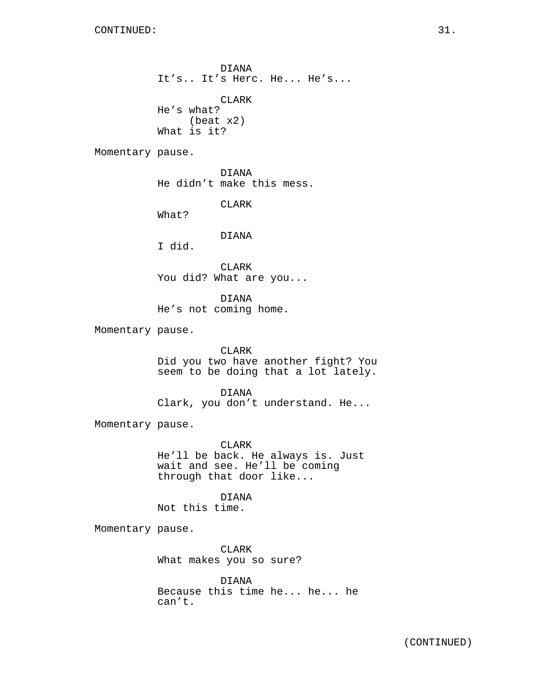DIANA It's.. It's Herc. He... He's...

CLARK He's what? (beat x2) What is it?

Momentary pause.

DIANA He didn't make this mess.

CLARK

What?

# DIANA

I did.

CLARK You did? What are you...

DIANA He's not coming home.

Momentary pause.

## CLARK

Did you two have another fight? You seem to be doing that a lot lately.

DIANA Clark, you don't understand. He...

Momentary pause.

CLARK

He'll be back. He always is. Just wait and see. He'll be coming through that door like...

DIANA

Not this time.

Momentary pause.

CLARK What makes you so sure?

DIANA Because this time he... he... he can't.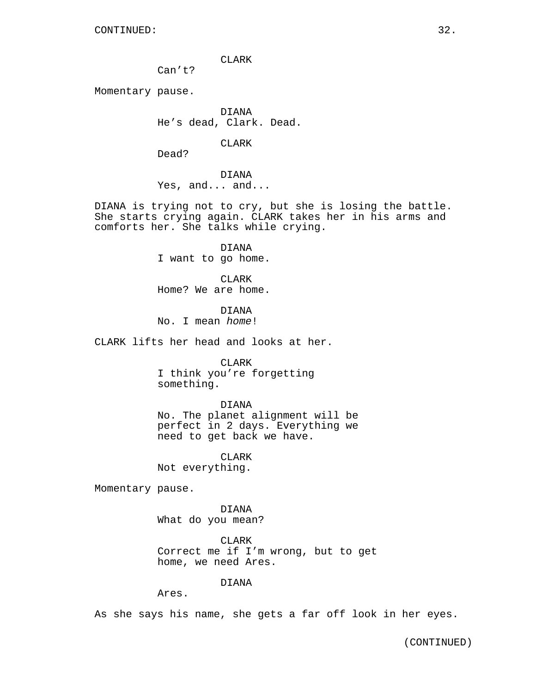CLARK

Can't?

Momentary pause.

DIANA He's dead, Clark. Dead.

CLARK

Dead?

DIANA Yes, and... and...

DIANA is trying not to cry, but she is losing the battle. She starts crying again. CLARK takes her in his arms and comforts her. She talks while crying.

> DIANA I want to go home.

> CLARK Home? We are home.

DIANA No. I mean home!

CLARK lifts her head and looks at her.

CLARK I think you're forgetting something.

DIANA No. The planet alignment will be perfect in 2 days. Everything we need to get back we have.

CLARK Not everything.

Momentary pause.

DIANA What do you mean?

CLARK Correct me if I'm wrong, but to get home, we need Ares.

DIANA

Ares.

As she says his name, she gets a far off look in her eyes.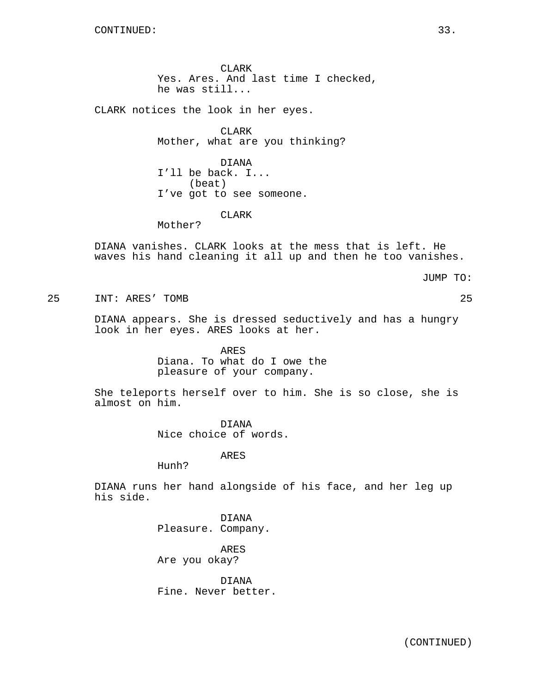CLARK Yes. Ares. And last time I checked, he was still...

CLARK notices the look in her eyes.

CLARK Mother, what are you thinking?

DIANA I'll be back. I... (beat) I've got to see someone.

CLARK

Mother?

DIANA vanishes. CLARK looks at the mess that is left. He waves his hand cleaning it all up and then he too vanishes.

JUMP TO:

25 INT: ARES' TOMB 25

DIANA appears. She is dressed seductively and has a hungry look in her eyes. ARES looks at her.

> ARES Diana. To what do I owe the pleasure of your company.

She teleports herself over to him. She is so close, she is almost on him.

> DIANA Nice choice of words.

> > ARES

Hunh?

DIANA runs her hand alongside of his face, and her leg up his side.

> DIANA Pleasure. Company.

ARES Are you okay?

DIANA Fine. Never better.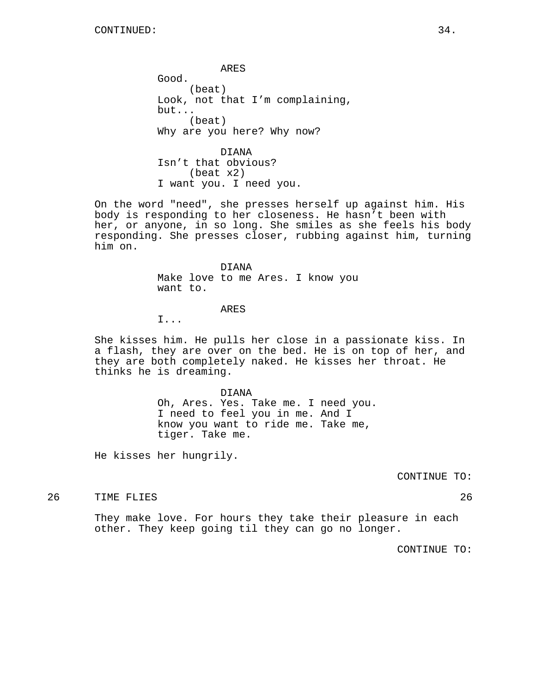ARES Good. (beat) Look, not that I'm complaining, but... (beat) Why are you here? Why now?

DIANA Isn't that obvious? (beat x2) I want you. I need you.

On the word "need", she presses herself up against him. His body is responding to her closeness. He hasn't been with her, or anyone, in so long. She smiles as she feels his body responding. She presses closer, rubbing against him, turning him on.

> DIANA Make love to me Ares. I know you want to.

#### ARES

I...

She kisses him. He pulls her close in a passionate kiss. In a flash, they are over on the bed. He is on top of her, and they are both completely naked. He kisses her throat. He thinks he is dreaming.

> DIANA Oh, Ares. Yes. Take me. I need you. I need to feel you in me. And I know you want to ride me. Take me, tiger. Take me.

He kisses her hungrily.

CONTINUE TO:

# 26 TIME FLIES 26

They make love. For hours they take their pleasure in each other. They keep going til they can go no longer.

CONTINUE TO: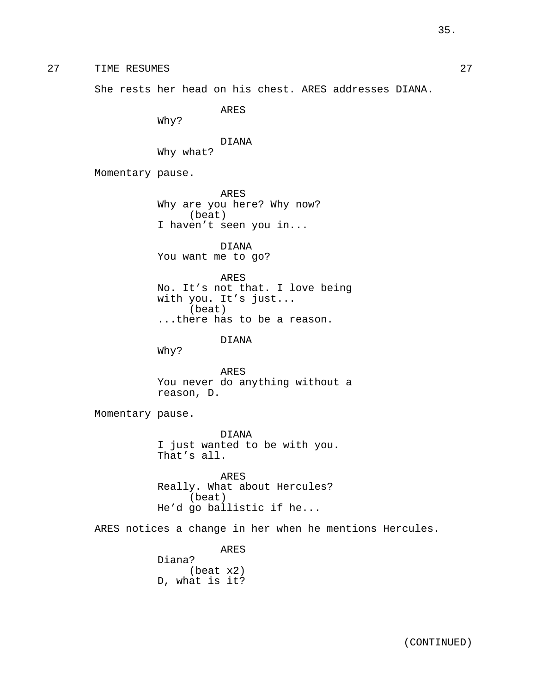27 TIME RESUMES 27

She rests her head on his chest. ARES addresses DIANA.

ARES

Why?

DIANA Why what?

Momentary pause.

ARES Why are you here? Why now? (beat) I haven't seen you in...

DIANA You want me to go?

ARES No. It's not that. I love being with you. It's just... (beat) ...there has to be a reason.

# DIANA

Why?

ARES You never do anything without a reason, D.

Momentary pause.

DIANA I just wanted to be with you. That's all.

ARES Really. What about Hercules? (beat) He'd go ballistic if he...

ARES notices a change in her when he mentions Hercules.

ARES Diana? (beat x2) D, what is it?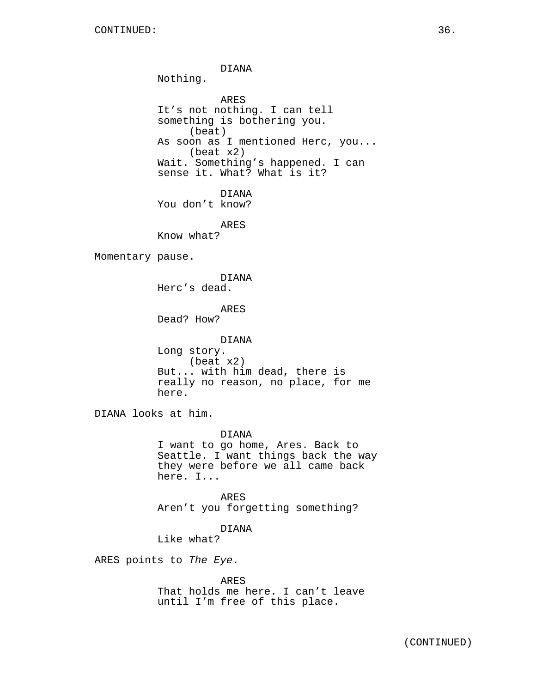DIANA Nothing. ARES It's not nothing. I can tell something is bothering you. (beat) As soon as I mentioned Herc, you... (beat x2) Wait. Something's happened. I can sense it. What? What is it? DIANA You don't know? ARES Know what? Momentary pause. DIANA Herc's dead. ARES Dead? How? DIANA Long story. (beat x2) But... with him dead, there is really no reason, no place, for me here. DIANA looks at him. DIANA I want to go home, Ares. Back to Seattle. I want things back the way they were before we all came back here. I... ARES Aren't you forgetting something? DIANA Like what? ARES points to The Eye. ARES That holds me here. I can't leave until I'm free of this place.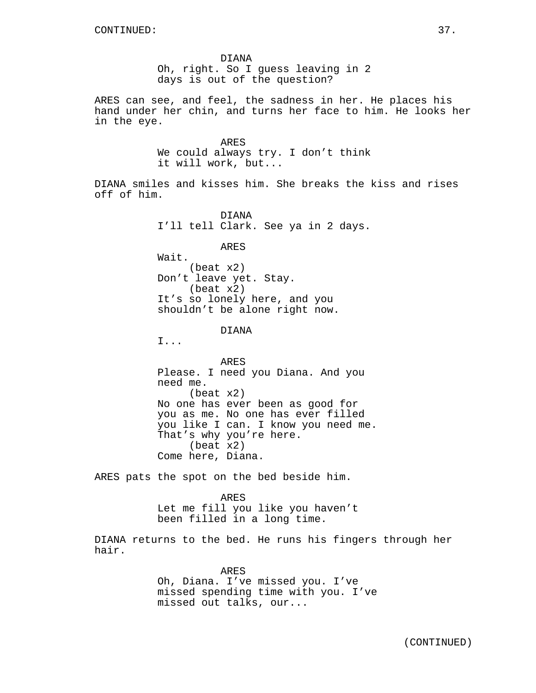DIANA Oh, right. So I guess leaving in 2 days is out of the question?

ARES can see, and feel, the sadness in her. He places his hand under her chin, and turns her face to him. He looks her in the eye.

> ARES We could always try. I don't think it will work, but...

DIANA smiles and kisses him. She breaks the kiss and rises off of him.

> DIANA I'll tell Clark. See ya in 2 days.

> > ARES

Wait. (beat x2) Don't leave yet. Stay. (beat x2) It's so lonely here, and you shouldn't be alone right now.

DIANA

I...

ARES Please. I need you Diana. And you need me. (beat x2) No one has ever been as good for you as me. No one has ever filled you like I can. I know you need me. That's why you're here. (beat x2) Come here, Diana.

ARES pats the spot on the bed beside him.

ARES Let me fill you like you haven't been filled in a long time.

DIANA returns to the bed. He runs his fingers through her hair.

> ARES Oh, Diana. I've missed you. I've missed spending time with you. I've missed out talks, our...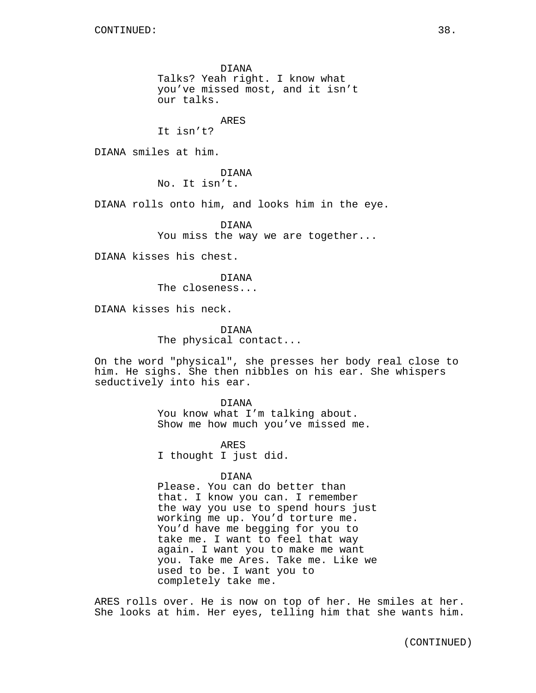DIANA Talks? Yeah right. I know what you've missed most, and it isn't our talks.

ARES

It isn't?

DIANA smiles at him.

DIANA No. It isn't.

DIANA rolls onto him, and looks him in the eye.

DIANA You miss the way we are together...

DIANA kisses his chest.

DIANA The closeness...

DIANA kisses his neck.

DIANA The physical contact...

On the word "physical", she presses her body real close to him. He sighs. She then nibbles on his ear. She whispers seductively into his ear.

> DIANA You know what I'm talking about. Show me how much you've missed me.

ARES I thought I just did.

#### DIANA

Please. You can do better than that. I know you can. I remember the way you use to spend hours just working me up. You'd torture me. You'd have me begging for you to take me. I want to feel that way again. I want you to make me want you. Take me Ares. Take me. Like we used to be. I want you to completely take me.

ARES rolls over. He is now on top of her. He smiles at her. She looks at him. Her eyes, telling him that she wants him.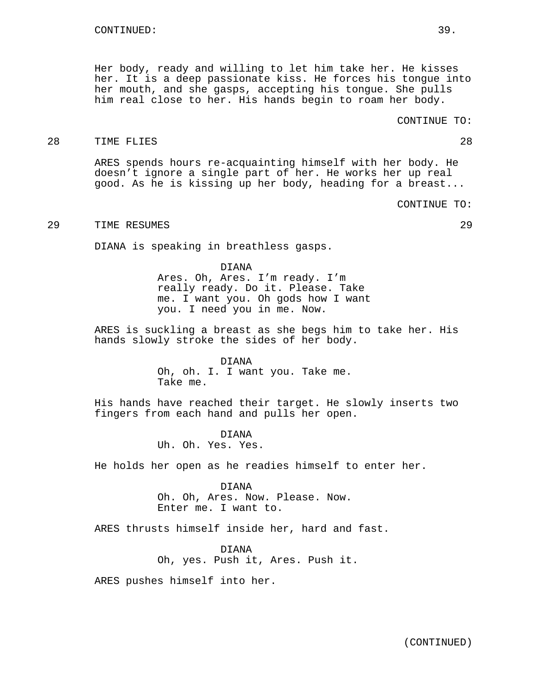Her body, ready and willing to let him take her. He kisses her. It is a deep passionate kiss. He forces his tongue into her mouth, and she gasps, accepting his tongue. She pulls him real close to her. His hands begin to roam her body.

## 28 TIME FLIES 28

ARES spends hours re-acquainting himself with her body. He doesn't ignore a single part of her. He works her up real good. As he is kissing up her body, heading for a breast...

CONTINUE TO:

## 29 TIME RESUMES 29

DIANA is speaking in breathless gasps.

DIANA

Ares. Oh, Ares. I'm ready. I'm really ready. Do it. Please. Take me. I want you. Oh gods how I want you. I need you in me. Now.

ARES is suckling a breast as she begs him to take her. His hands slowly stroke the sides of her body.

> DIANA Oh, oh. I. I want you. Take me. Take me.

His hands have reached their target. He slowly inserts two fingers from each hand and pulls her open.

> DIANA Uh. Oh. Yes. Yes.

He holds her open as he readies himself to enter her.

DIANA Oh. Oh, Ares. Now. Please. Now. Enter me. I want to.

ARES thrusts himself inside her, hard and fast.

DIANA Oh, yes. Push it, Ares. Push it.

ARES pushes himself into her.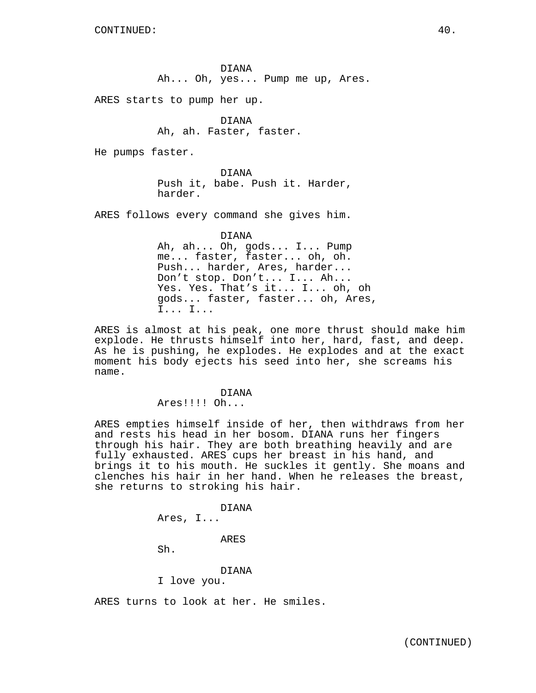ARES starts to pump her up.

DIANA Ah, ah. Faster, faster.

He pumps faster.

DIANA Push it, babe. Push it. Harder, harder.

ARES follows every command she gives him.

DIANA Ah, ah... Oh, gods... I... Pump me... faster, faster... oh, oh. Push... harder, Ares, harder... Don't stop. Don't... I... Ah... Yes. Yes. That's it... I... oh, oh gods... faster, faster... oh, Ares, I... I...

ARES is almost at his peak, one more thrust should make him explode. He thrusts himself into her, hard, fast, and deep. As he is pushing, he explodes. He explodes and at the exact moment his body ejects his seed into her, she screams his name.

## DIANA

Ares!!!! Oh...

ARES empties himself inside of her, then withdraws from her and rests his head in her bosom. DIANA runs her fingers through his hair. They are both breathing heavily and are fully exhausted. ARES cups her breast in his hand, and brings it to his mouth. He suckles it gently. She moans and clenches his hair in her hand. When he releases the breast, she returns to stroking his hair.

DIANA

```
Ares, I...
```
ARES

Sh.

## DIANA

I love you.

ARES turns to look at her. He smiles.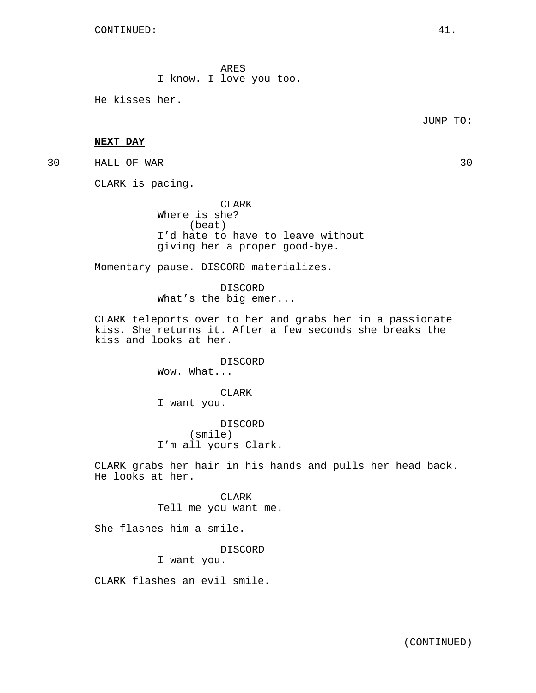ARES I know. I love you too.

He kisses her.

JUMP TO:

## **NEXT DAY**

30 HALL OF WAR 30

CLARK is pacing.

CLARK Where is she? (beat) I'd hate to have to leave without giving her a proper good-bye.

Momentary pause. DISCORD materializes.

DISCORD What's the big emer...

CLARK teleports over to her and grabs her in a passionate kiss. She returns it. After a few seconds she breaks the kiss and looks at her.

> DISCORD Wow. What...

CLARK I want you.

DISCORD (smile) I'm all yours Clark.

CLARK grabs her hair in his hands and pulls her head back. He looks at her.

> **CLARK** Tell me you want me.

She flashes him a smile.

DISCORD I want you.

CLARK flashes an evil smile.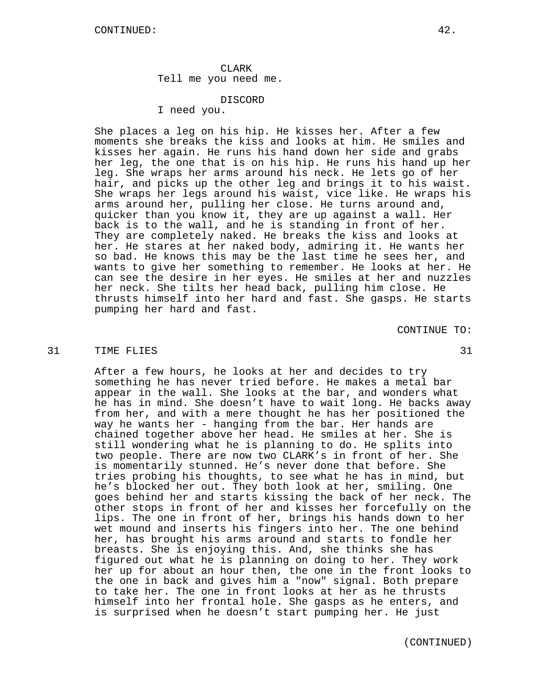CLARK Tell me you need me.

DISCORD

I need you.

She places a leg on his hip. He kisses her. After a few moments she breaks the kiss and looks at him. He smiles and kisses her again. He runs his hand down her side and grabs her leg, the one that is on his hip. He runs his hand up her leg. She wraps her arms around his neck. He lets go of her hair, and picks up the other leg and brings it to his waist. She wraps her legs around his waist, vice like. He wraps his arms around her, pulling her close. He turns around and, quicker than you know it, they are up against a wall. Her back is to the wall, and he is standing in front of her. They are completely naked. He breaks the kiss and looks at her. He stares at her naked body, admiring it. He wants her so bad. He knows this may be the last time he sees her, and wants to give her something to remember. He looks at her. He can see the desire in her eyes. He smiles at her and nuzzles her neck. She tilts her head back, pulling him close. He thrusts himself into her hard and fast. She gasps. He starts pumping her hard and fast.

CONTINUE TO:

#### 31 TIME FLIES 31 SPACES 31 SPACES 31 SPACES 31 SPACES 31 SPACES 31 SPACES 31 SPACES 31

After a few hours, he looks at her and decides to try something he has never tried before. He makes a metal bar appear in the wall. She looks at the bar, and wonders what he has in mind. She doesn't have to wait long. He backs away from her, and with a mere thought he has her positioned the way he wants her - hanging from the bar. Her hands are chained together above her head. He smiles at her. She is still wondering what he is planning to do. He splits into two people. There are now two CLARK's in front of her. She is momentarily stunned. He's never done that before. She tries probing his thoughts, to see what he has in mind, but he's blocked her out. They both look at her, smiling. One goes behind her and starts kissing the back of her neck. The other stops in front of her and kisses her forcefully on the lips. The one in front of her, brings his hands down to her wet mound and inserts his fingers into her. The one behind her, has brought his arms around and starts to fondle her breasts. She is enjoying this. And, she thinks she has figured out what he is planning on doing to her. They work her up for about an hour then, the one in the front looks to the one in back and gives him a "now" signal. Both prepare to take her. The one in front looks at her as he thrusts himself into her frontal hole. She gasps as he enters, and is surprised when he doesn't start pumping her. He just

(CONTINUED)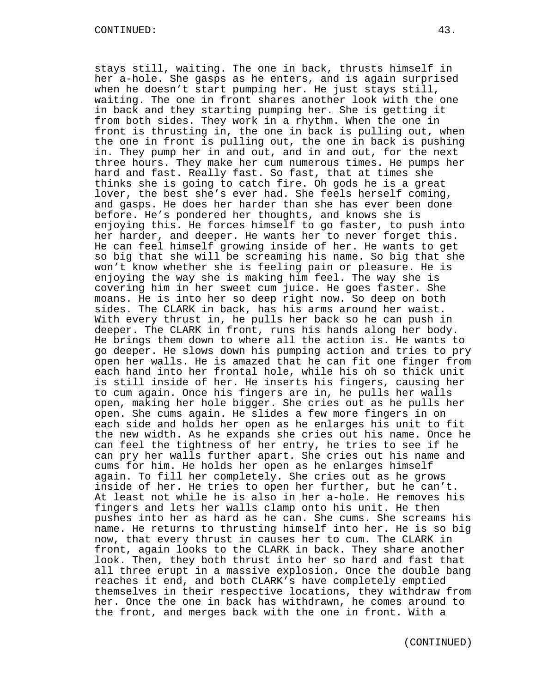stays still, waiting. The one in back, thrusts himself in her a-hole. She gasps as he enters, and is again surprised when he doesn't start pumping her. He just stays still, waiting. The one in front shares another look with the one in back and they starting pumping her. She is getting it from both sides. They work in a rhythm. When the one in front is thrusting in, the one in back is pulling out, when the one in front is pulling out, the one in back is pushing in. They pump her in and out, and in and out, for the next three hours. They make her cum numerous times. He pumps her hard and fast. Really fast. So fast, that at times she thinks she is going to catch fire. Oh gods he is a great lover, the best she's ever had. She feels herself coming, and gasps. He does her harder than she has ever been done before. He's pondered her thoughts, and knows she is enjoying this. He forces himself to go faster, to push into her harder, and deeper. He wants her to never forget this. He can feel himself growing inside of her. He wants to get so big that she will be screaming his name. So big that she won't know whether she is feeling pain or pleasure. He is enjoying the way she is making him feel. The way she is covering him in her sweet cum juice. He goes faster. She moans. He is into her so deep right now. So deep on both sides. The CLARK in back, has his arms around her waist. With every thrust in, he pulls her back so he can push in deeper. The CLARK in front, runs his hands along her body. He brings them down to where all the action is. He wants to go deeper. He slows down his pumping action and tries to pry open her walls. He is amazed that he can fit one finger from each hand into her frontal hole, while his oh so thick unit is still inside of her. He inserts his fingers, causing her to cum again. Once his fingers are in, he pulls her walls open, making her hole bigger. She cries out as he pulls her open. She cums again. He slides a few more fingers in on each side and holds her open as he enlarges his unit to fit the new width. As he expands she cries out his name. Once he can feel the tightness of her entry, he tries to see if he can pry her walls further apart. She cries out his name and cums for him. He holds her open as he enlarges himself again. To fill her completely. She cries out as he grows inside of her. He tries to open her further, but he can't. At least not while he is also in her a-hole. He removes his fingers and lets her walls clamp onto his unit. He then pushes into her as hard as he can. She cums. She screams his name. He returns to thrusting himself into her. He is so big now, that every thrust in causes her to cum. The CLARK in front, again looks to the CLARK in back. They share another look. Then, they both thrust into her so hard and fast that all three erupt in a massive explosion. Once the double bang reaches it end, and both CLARK's have completely emptied themselves in their respective locations, they withdraw from her. Once the one in back has withdrawn, he comes around to the front, and merges back with the one in front. With a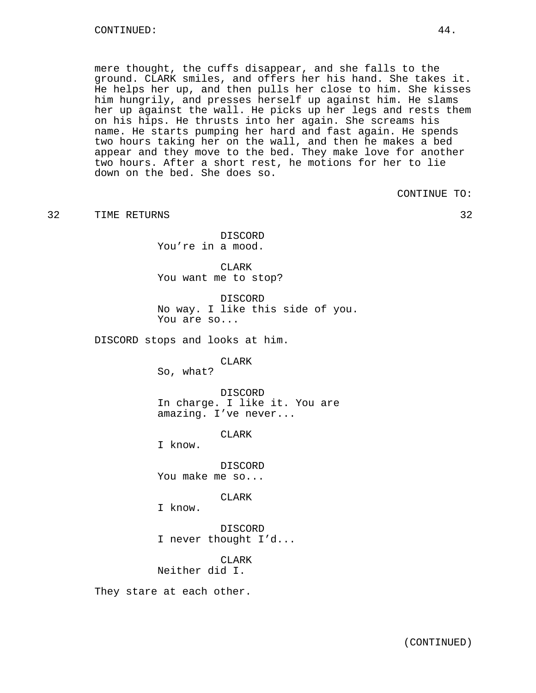mere thought, the cuffs disappear, and she falls to the ground. CLARK smiles, and offers her his hand. She takes it. He helps her up, and then pulls her close to him. She kisses him hungrily, and presses herself up against him. He slams her up against the wall. He picks up her legs and rests them on his hips. He thrusts into her again. She screams his name. He starts pumping her hard and fast again. He spends two hours taking her on the wall, and then he makes a bed appear and they move to the bed. They make love for another two hours. After a short rest, he motions for her to lie down on the bed. She does so.

CONTINUE TO:

32 TIME RETURNS 32

DISCORD You're in a mood.

CLARK You want me to stop?

DISCORD No way. I like this side of you. You are so...

DISCORD stops and looks at him.

CLARK

So, what?

DISCORD In charge. I like it. You are amazing. I've never...

CLARK

I know.

DISCORD You make me so...

**CLARK** 

I know.

DISCORD I never thought I'd...

CLARK Neither did I.

They stare at each other.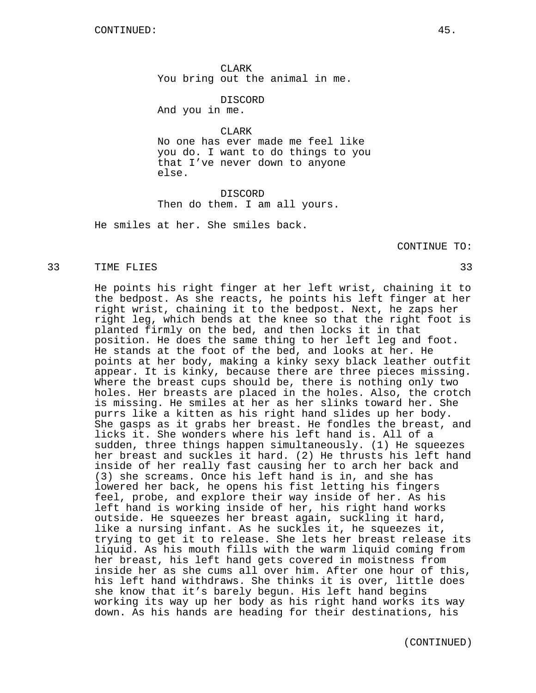CLARK You bring out the animal in me.

DISCORD And you in me.

CLARK

No one has ever made me feel like you do. I want to do things to you that I've never down to anyone else.

DISCORD Then do them. I am all yours.

He smiles at her. She smiles back.

CONTINUE TO:

#### 33 TIME FLIES 33

He points his right finger at her left wrist, chaining it to the bedpost. As she reacts, he points his left finger at her right wrist, chaining it to the bedpost. Next, he zaps her right leg, which bends at the knee so that the right foot is planted firmly on the bed, and then locks it in that position. He does the same thing to her left leg and foot. He stands at the foot of the bed, and looks at her. He points at her body, making a kinky sexy black leather outfit appear. It is kinky, because there are three pieces missing. Where the breast cups should be, there is nothing only two holes. Her breasts are placed in the holes. Also, the crotch is missing. He smiles at her as her slinks toward her. She purrs like a kitten as his right hand slides up her body. She gasps as it grabs her breast. He fondles the breast, and licks it. She wonders where his left hand is. All of a sudden, three things happen simultaneously. (1) He squeezes her breast and suckles it hard. (2) He thrusts his left hand inside of her really fast causing her to arch her back and (3) she screams. Once his left hand is in, and she has lowered her back, he opens his fist letting his fingers feel, probe, and explore their way inside of her. As his left hand is working inside of her, his right hand works outside. He squeezes her breast again, suckling it hard, like a nursing infant. As he suckles it, he squeezes it, trying to get it to release. She lets her breast release its liquid. As his mouth fills with the warm liquid coming from her breast, his left hand gets covered in moistness from inside her as she cums all over him. After one hour of this, his left hand withdraws. She thinks it is over, little does she know that it's barely begun. His left hand begins working its way up her body as his right hand works its way down. As his hands are heading for their destinations, his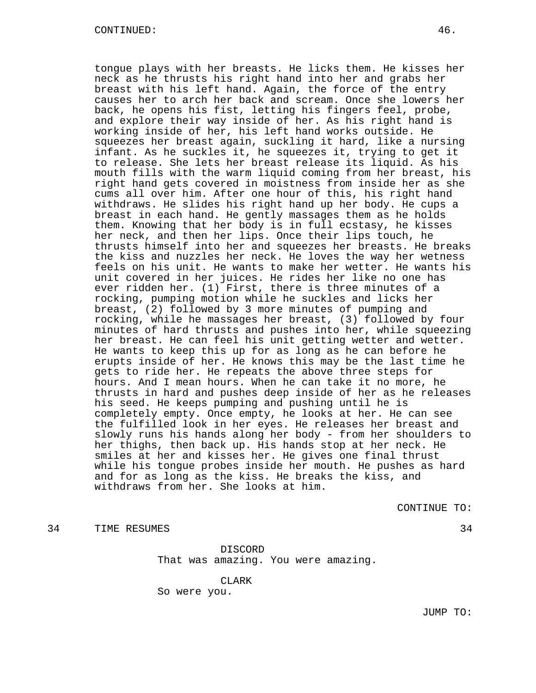tongue plays with her breasts. He licks them. He kisses her neck as he thrusts his right hand into her and grabs her breast with his left hand. Again, the force of the entry causes her to arch her back and scream. Once she lowers her back, he opens his fist, letting his fingers feel, probe, and explore their way inside of her. As his right hand is working inside of her, his left hand works outside. He squeezes her breast again, suckling it hard, like a nursing infant. As he suckles it, he squeezes it, trying to get it to release. She lets her breast release its liquid. As his mouth fills with the warm liquid coming from her breast, his right hand gets covered in moistness from inside her as she cums all over him. After one hour of this, his right hand withdraws. He slides his right hand up her body. He cups a breast in each hand. He gently massages them as he holds them. Knowing that her body is in full ecstasy, he kisses her neck, and then her lips. Once their lips touch, he thrusts himself into her and squeezes her breasts. He breaks the kiss and nuzzles her neck. He loves the way her wetness feels on his unit. He wants to make her wetter. He wants his unit covered in her juices. He rides her like no one has ever ridden her. (1) First, there is three minutes of a rocking, pumping motion while he suckles and licks her breast, (2) followed by 3 more minutes of pumping and rocking, while he massages her breast, (3) followed by four minutes of hard thrusts and pushes into her, while squeezing her breast. He can feel his unit getting wetter and wetter. He wants to keep this up for as long as he can before he erupts inside of her. He knows this may be the last time he gets to ride her. He repeats the above three steps for hours. And I mean hours. When he can take it no more, he thrusts in hard and pushes deep inside of her as he releases his seed. He keeps pumping and pushing until he is completely empty. Once empty, he looks at her. He can see the fulfilled look in her eyes. He releases her breast and slowly runs his hands along her body - from her shoulders to her thighs, then back up. His hands stop at her neck. He smiles at her and kisses her. He gives one final thrust while his tongue probes inside her mouth. He pushes as hard and for as long as the kiss. He breaks the kiss, and withdraws from her. She looks at him.

CONTINUE TO:

34 TIME RESUMES 34

DISCORD That was amazing. You were amazing.

CLARK So were you.

JUMP TO: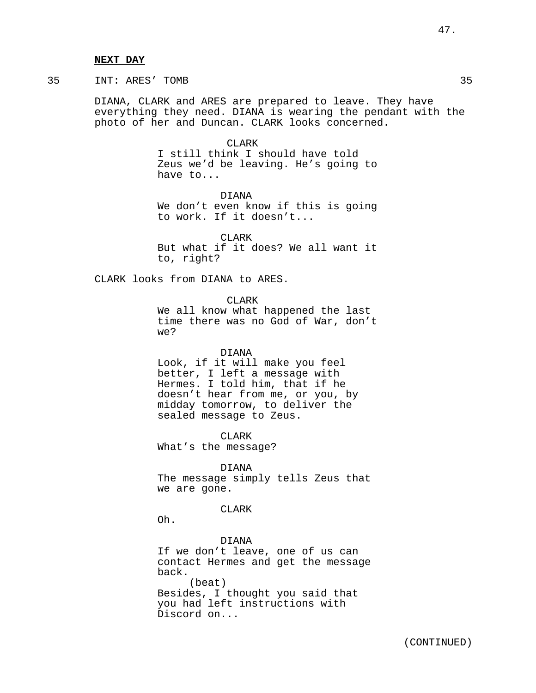#### **NEXT DAY**

## 35 INT: ARES' TOMB 35

DIANA, CLARK and ARES are prepared to leave. They have everything they need. DIANA is wearing the pendant with the photo of her and Duncan. CLARK looks concerned.

> CLARK I still think I should have told Zeus we'd be leaving. He's going to have to...

> DIANA We don't even know if this is going to work. If it doesn't...

> **CLARK** But what if it does? We all want it to, right?

CLARK looks from DIANA to ARES.

CLARK

We all know what happened the last time there was no God of War, don't we?

#### DIANA

Look, if it will make you feel better, I left a message with Hermes. I told him, that if he doesn't hear from me, or you, by midday tomorrow, to deliver the sealed message to Zeus.

CLARK What's the message?

DIANA The message simply tells Zeus that we are gone.

## CLARK

Oh.

DIANA If we don't leave, one of us can contact Hermes and get the message back. (beat) Besides, I thought you said that you had left instructions with Discord on...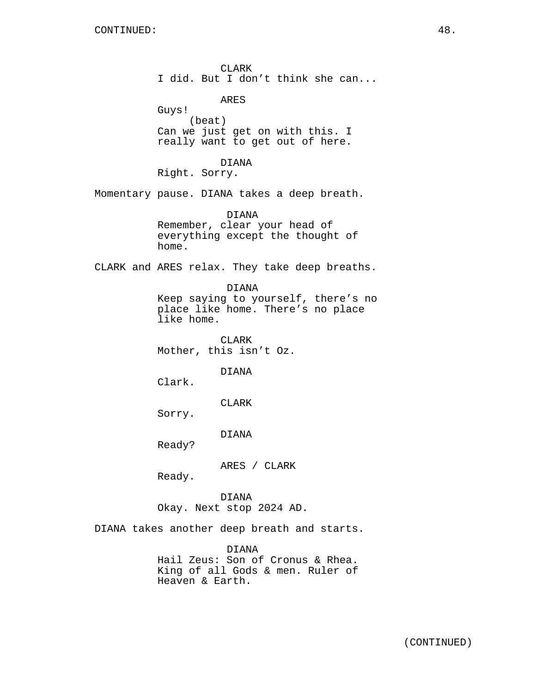CLARK I did. But I don't think she can...

ARES

Guys! (beat) Can we just get on with this. I really want to get out of here.

DIANA

Right. Sorry.

Momentary pause. DIANA takes a deep breath.

DIANA Remember, clear your head of everything except the thought of home.

CLARK and ARES relax. They take deep breaths.

DIANA

Keep saying to yourself, there's no place like home. There's no place like home.

CLARK Mother, this isn't Oz.

DIANA

Clark.

CLARK

Sorry.

DIANA

Ready?

ARES / CLARK

Ready.

DIANA Okay. Next stop 2024 AD.

DIANA takes another deep breath and starts.

DIANA Hail Zeus: Son of Cronus & Rhea. King of all Gods & men. Ruler of Heaven & Earth.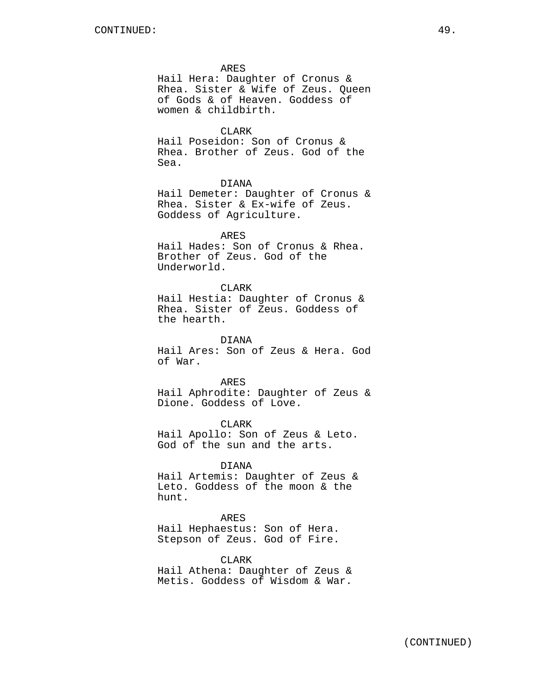ARES

Hail Hera: Daughter of Cronus & Rhea. Sister & Wife of Zeus. Queen of Gods & of Heaven. Goddess of women & childbirth.

CLARK

Hail Poseidon: Son of Cronus & Rhea. Brother of Zeus. God of the Sea.

DIANA

Hail Demeter: Daughter of Cronus & Rhea. Sister & Ex-wife of Zeus. Goddess of Agriculture.

ARES

Hail Hades: Son of Cronus & Rhea. Brother of Zeus. God of the Underworld.

## CLARK

Hail Hestia: Daughter of Cronus & Rhea. Sister of Zeus. Goddess of the hearth.

DIANA

Hail Ares: Son of Zeus & Hera. God of War.

ARES Hail Aphrodite: Daughter of Zeus & Dione. Goddess of Love.

CLARK Hail Apollo: Son of Zeus & Leto. God of the sun and the arts.

DIANA

Hail Artemis: Daughter of Zeus & Leto. Goddess of the moon & the hunt.

#### ARES

Hail Hephaestus: Son of Hera. Stepson of Zeus. God of Fire.

CLARK

Hail Athena: Daughter of Zeus & Metis. Goddess of Wisdom & War.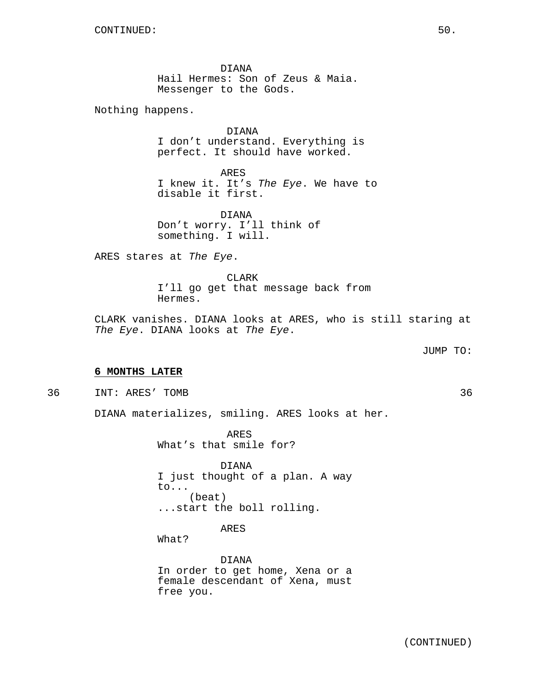DIANA Hail Hermes: Son of Zeus & Maia. Messenger to the Gods.

Nothing happens.

DIANA I don't understand. Everything is perfect. It should have worked.

ARES I knew it. It's The Eye. We have to disable it first.

DIANA Don't worry. I'll think of something. I will.

ARES stares at The Eye.

CLARK I'll go get that message back from Hermes.

CLARK vanishes. DIANA looks at ARES, who is still staring at The Eye. DIANA looks at The Eye.

JUMP TO:

## **6 MONTHS LATER**

36 INT: ARES' TOMB 36

DIANA materializes, smiling. ARES looks at her.

ARES What's that smile for?

DIANA I just thought of a plan. A way to... (beat) ...start the boll rolling.

ARES

What?

DIANA In order to get home, Xena or a female descendant of Xena, must free you.

(CONTINUED)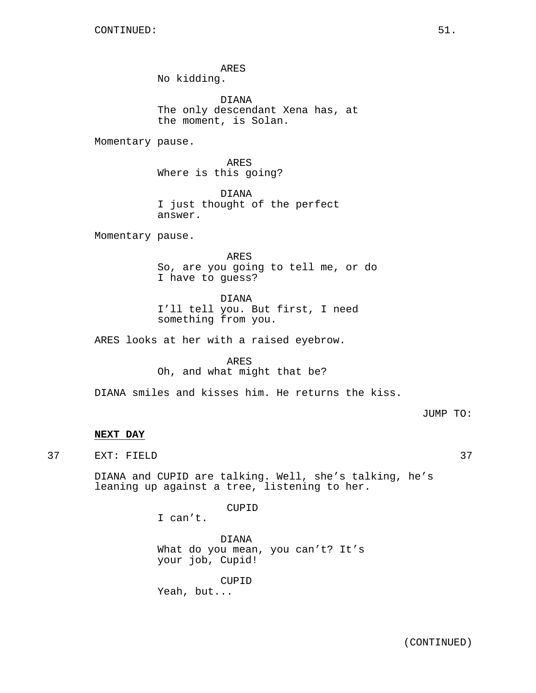ARES No kidding.

DIANA The only descendant Xena has, at the moment, is Solan.

Momentary pause.

ARES Where is this going?

DIANA I just thought of the perfect answer.

Momentary pause.

ARES So, are you going to tell me, or do I have to guess?

DIANA

I'll tell you. But first, I need something from you.

ARES looks at her with a raised eyebrow.

ARES Oh, and what might that be?

DIANA smiles and kisses him. He returns the kiss.

JUMP TO:

## **NEXT DAY**

37 EXT: FIELD 37

DIANA and CUPID are talking. Well, she's talking, he's leaning up against a tree, listening to her.

CUPID

I can't.

DIANA What do you mean, you can't? It's your job, Cupid!

CUPID Yeah, but...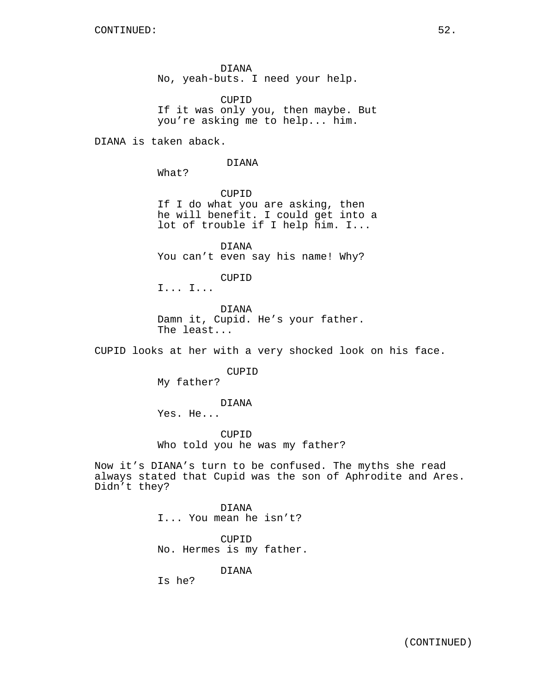DIANA No, yeah-buts. I need your help.

CUPID If it was only you, then maybe. But you're asking me to help... him.

DIANA is taken aback.

#### DIANA

What?

CUPID If I do what you are asking, then he will benefit. I could get into a lot of trouble if I help him. I...

DIANA You can't even say his name! Why?

CUPID

I... I...

DIANA Damn it, Cupid. He's your father. The least...

CUPID looks at her with a very shocked look on his face.

CUPID

My father?

DIANA

Yes. He...

CUPID Who told you he was my father?

Now it's DIANA's turn to be confused. The myths she read always stated that Cupid was the son of Aphrodite and Ares. Didn't they?

> DIANA I... You mean he isn't?

CUPID No. Hermes is my father.

DIANA

Is he?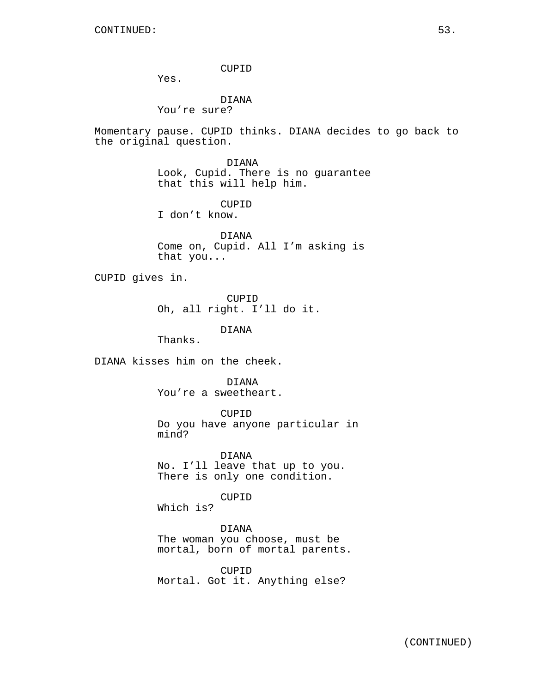CUPID

Yes.

DIANA You're sure?

Momentary pause. CUPID thinks. DIANA decides to go back to the original question.

> DIANA Look, Cupid. There is no guarantee that this will help him.

CUPID I don't know.

DIANA Come on, Cupid. All I'm asking is that you...

CUPID gives in.

CUPID Oh, all right. I'll do it.

DIANA

Thanks.

DIANA kisses him on the cheek.

DIANA

You're a sweetheart.

CUPID

Do you have anyone particular in mind?

DIANA No. I'll leave that up to you. There is only one condition.

CUPID

Which is?

DIANA

The woman you choose, must be mortal, born of mortal parents.

CUPID Mortal. Got it. Anything else?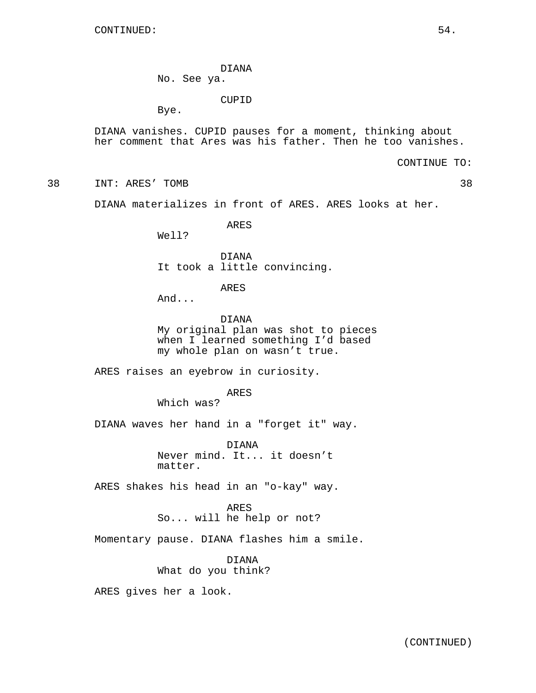DIANA

No. See ya.

CUPID

Bye.

DIANA vanishes. CUPID pauses for a moment, thinking about her comment that Ares was his father. Then he too vanishes.

CONTINUE TO:

38 INT: ARES' TOMB 38

DIANA materializes in front of ARES. ARES looks at her.

ARES

Well?

DIANA It took a little convincing.

ARES

And...

DIANA My original plan was shot to pieces when I learned something I'd based my whole plan on wasn't true.

ARES raises an eyebrow in curiosity.

ARES

Which was?

DIANA waves her hand in a "forget it" way.

DIANA Never mind. It... it doesn't matter.

ARES shakes his head in an "o-kay" way.

ARES So... will he help or not?

Momentary pause. DIANA flashes him a smile.

DIANA What do you think?

ARES gives her a look.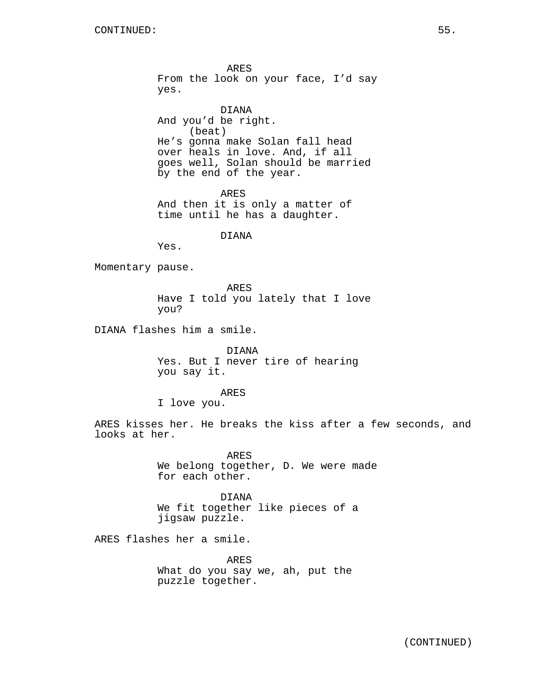ARES From the look on your face, I'd say yes.

DIANA And you'd be right. (beat) He's gonna make Solan fall head over heals in love. And, if all goes well, Solan should be married by the end of the year.

ARES And then it is only a matter of time until he has a daughter.

## DIANA

Yes.

Momentary pause.

ARES Have I told you lately that I love you?

DIANA flashes him a smile.

DIANA Yes. But I never tire of hearing you say it.

ARES

I love you.

ARES kisses her. He breaks the kiss after a few seconds, and looks at her.

> ARES We belong together, D. We were made for each other.

DIANA We fit together like pieces of a jigsaw puzzle.

ARES flashes her a smile.

ARES What do you say we, ah, put the puzzle together.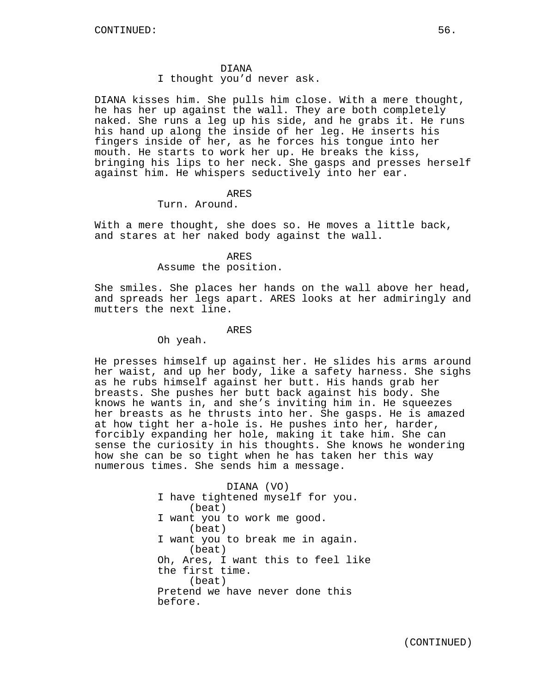#### DIANA

I thought you'd never ask.

DIANA kisses him. She pulls him close. With a mere thought, he has her up against the wall. They are both completely naked. She runs a leg up his side, and he grabs it. He runs his hand up along the inside of her leg. He inserts his fingers inside of her, as he forces his tongue into her mouth. He starts to work her up. He breaks the kiss, bringing his lips to her neck. She gasps and presses herself against him. He whispers seductively into her ear.

## ARES

## Turn. Around.

With a mere thought, she does so. He moves a little back, and stares at her naked body against the wall.

#### ARES

## Assume the position.

She smiles. She places her hands on the wall above her head, and spreads her legs apart. ARES looks at her admiringly and mutters the next line.

## ARES

Oh yeah.

He presses himself up against her. He slides his arms around her waist, and up her body, like a safety harness. She sighs as he rubs himself against her butt. His hands grab her breasts. She pushes her butt back against his body. She knows he wants in, and she's inviting him in. He squeezes her breasts as he thrusts into her. She gasps. He is amazed at how tight her a-hole is. He pushes into her, harder, forcibly expanding her hole, making it take him. She can sense the curiosity in his thoughts. She knows he wondering how she can be so tight when he has taken her this way numerous times. She sends him a message.

> DIANA (VO) I have tightened myself for you. (beat) I want you to work me good. (beat) I want you to break me in again. (beat) Oh, Ares, I want this to feel like the first time. (beat) Pretend we have never done this before.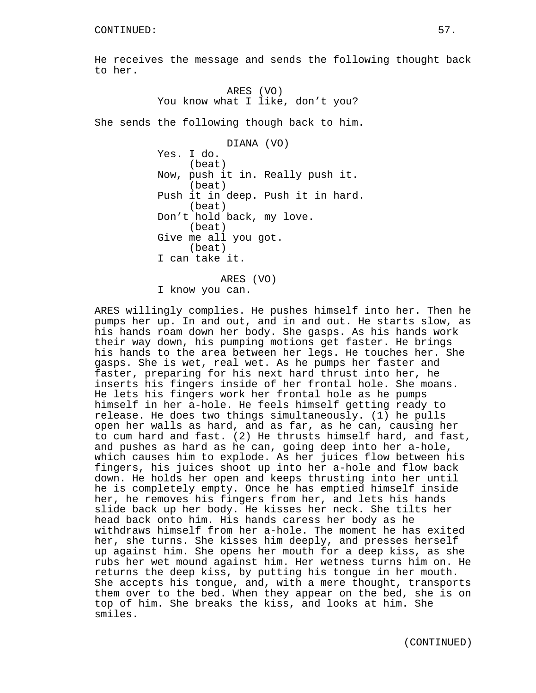He receives the message and sends the following thought back to her.

> ARES (VO) You know what I like, don't you?

She sends the following though back to him.

DIANA (VO) Yes. I do. (beat) Now, push it in. Really push it. (beat) Push it in deep. Push it in hard. (beat) Don't hold back, my love. (beat) Give me all you got. (beat) I can take it.

ARES (VO) I know you can.

ARES willingly complies. He pushes himself into her. Then he pumps her up. In and out, and in and out. He starts slow, as his hands roam down her body. She gasps. As his hands work their way down, his pumping motions get faster. He brings his hands to the area between her legs. He touches her. She gasps. She is wet, real wet. As he pumps her faster and faster, preparing for his next hard thrust into her, he inserts his fingers inside of her frontal hole. She moans. He lets his fingers work her frontal hole as he pumps himself in her a-hole. He feels himself getting ready to release. He does two things simultaneously. (1) he pulls open her walls as hard, and as far, as he can, causing her to cum hard and fast. (2) He thrusts himself hard, and fast, and pushes as hard as he can, going deep into her a-hole, which causes him to explode. As her juices flow between his fingers, his juices shoot up into her a-hole and flow back down. He holds her open and keeps thrusting into her until he is completely empty. Once he has emptied himself inside her, he removes his fingers from her, and lets his hands slide back up her body. He kisses her neck. She tilts her head back onto him. His hands caress her body as he withdraws himself from her a-hole. The moment he has exited her, she turns. She kisses him deeply, and presses herself up against him. She opens her mouth for a deep kiss, as she rubs her wet mound against him. Her wetness turns him on. He returns the deep kiss, by putting his tongue in her mouth. She accepts his tongue, and, with a mere thought, transports them over to the bed. When they appear on the bed, she is on top of him. She breaks the kiss, and looks at him. She smiles.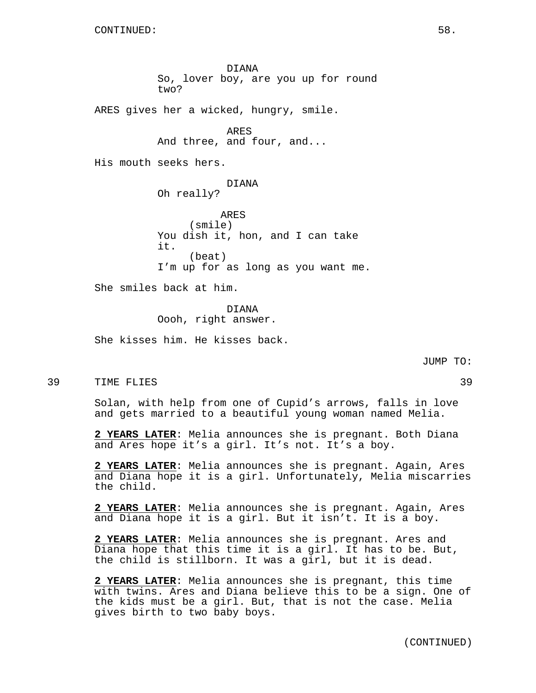DIANA So, lover boy, are you up for round two? ARES gives her a wicked, hungry, smile. ARES And three, and four, and... His mouth seeks hers. DIANA Oh really? ARES (smile) You dish it, hon, and I can take it. (beat) I'm up for as long as you want me. She smiles back at him. DIANA Oooh, right answer.

She kisses him. He kisses back.

JUMP TO:

39 TIME FLIES 39

Solan, with help from one of Cupid's arrows, falls in love and gets married to a beautiful young woman named Melia.

**2 YEARS LATER**: Melia announces she is pregnant. Both Diana and Ares hope it's a girl. It's not. It's a boy.

**2 YEARS LATER**: Melia announces she is pregnant. Again, Ares and Diana hope it is a girl. Unfortunately, Melia miscarries the child.

**2 YEARS LATER**: Melia announces she is pregnant. Again, Ares and Diana hope it is a girl. But it isn't. It is a boy.

**2 YEARS LATER**: Melia announces she is pregnant. Ares and Diana hope that this time it is a girl. It has to be. But, the child is stillborn. It was a girl, but it is dead.

**2 YEARS LATER**: Melia announces she is pregnant, this time with twins. Ares and Diana believe this to be a sign. One of the kids must be a girl. But, that is not the case. Melia gives birth to two baby boys.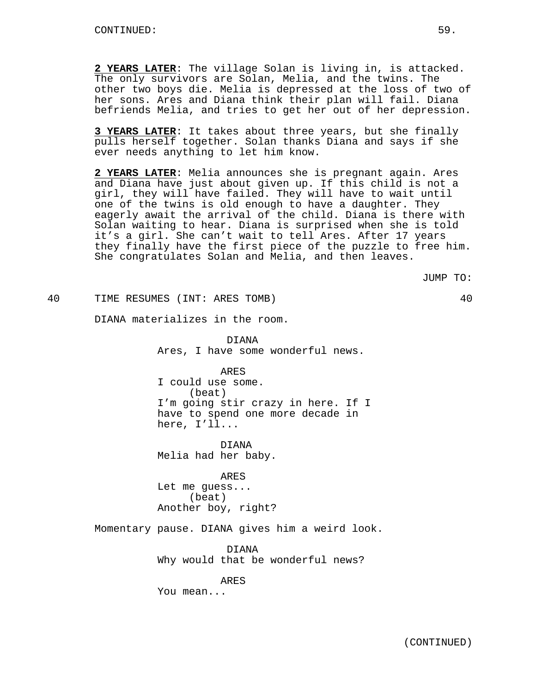**2 YEARS LATER**: The village Solan is living in, is attacked. The only survivors are Solan, Melia, and the twins. The other two boys die. Melia is depressed at the loss of two of her sons. Ares and Diana think their plan will fail. Diana befriends Melia, and tries to get her out of her depression.

**3 YEARS LATER**: It takes about three years, but she finally pulls herself together. Solan thanks Diana and says if she ever needs anything to let him know.

**2 YEARS LATER**: Melia announces she is pregnant again. Ares and Diana have just about given up. If this child is not a girl, they will have failed. They will have to wait until one of the twins is old enough to have a daughter. They eagerly await the arrival of the child. Diana is there with Solan waiting to hear. Diana is surprised when she is told it's a girl. She can't wait to tell Ares. After 17 years they finally have the first piece of the puzzle to free him. She congratulates Solan and Melia, and then leaves.

JUMP TO:

40 TIME RESUMES (INT: ARES TOMB) 40

DIANA materializes in the room.

DIANA Ares, I have some wonderful news.

ARES I could use some. (beat) I'm going stir crazy in here. If I have to spend one more decade in here, I'll...

DIANA Melia had her baby.

ARES Let me guess... (beat) Another boy, right?

Momentary pause. DIANA gives him a weird look.

DIANA Why would that be wonderful news?

ARES

You mean...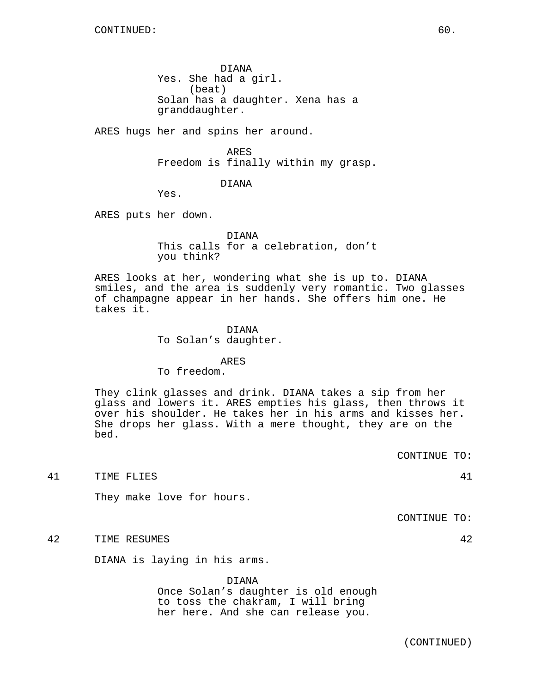DIANA Yes. She had a girl. (beat) Solan has a daughter. Xena has a granddaughter.

ARES hugs her and spins her around.

ARES Freedom is finally within my grasp.

DIANA

Yes.

ARES puts her down.

DIANA This calls for a celebration, don't you think?

ARES looks at her, wondering what she is up to. DIANA smiles, and the area is suddenly very romantic. Two glasses of champagne appear in her hands. She offers him one. He takes it.

DIANA

To Solan's daughter.

ARES

To freedom.

They clink glasses and drink. DIANA takes a sip from her glass and lowers it. ARES empties his glass, then throws it over his shoulder. He takes her in his arms and kisses her. She drops her glass. With a mere thought, they are on the bed.

CONTINUE TO:

41 TIME FLIES 41

They make love for hours.

CONTINUE TO:

42 TIME RESUMES 42

DIANA is laying in his arms.

DIANA Once Solan's daughter is old enough to toss the chakram, I will bring her here. And she can release you.

(CONTINUED)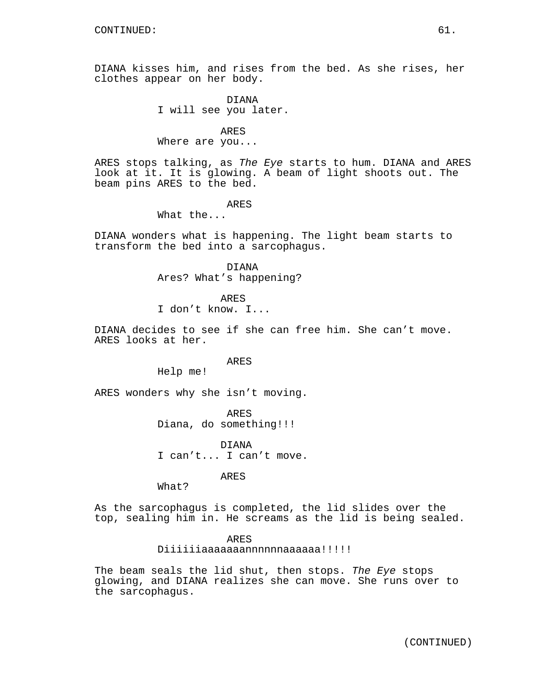DIANA kisses him, and rises from the bed. As she rises, her clothes appear on her body.

> DIANA I will see you later.

ARES Where are you...

ARES stops talking, as The Eye starts to hum. DIANA and ARES look at it. It is glowing. A beam of light shoots out. The beam pins ARES to the bed.

## ARES

What the...

DIANA wonders what is happening. The light beam starts to transform the bed into a sarcophagus.

> DIANA Ares? What's happening?

> > ARES

I don't know. I...

DIANA decides to see if she can free him. She can't move. ARES looks at her.

ARES

Help me!

ARES wonders why she isn't moving.

ARES Diana, do something!!!

DIANA I can't... I can't move.

ARES

What?

As the sarcophagus is completed, the lid slides over the top, sealing him in. He screams as the lid is being sealed.

ARES

Diiiiiiaaaaaaannnnnnaaaaaa!!!!!

The beam seals the lid shut, then stops. The Eye stops glowing, and DIANA realizes she can move. She runs over to the sarcophagus.

(CONTINUED)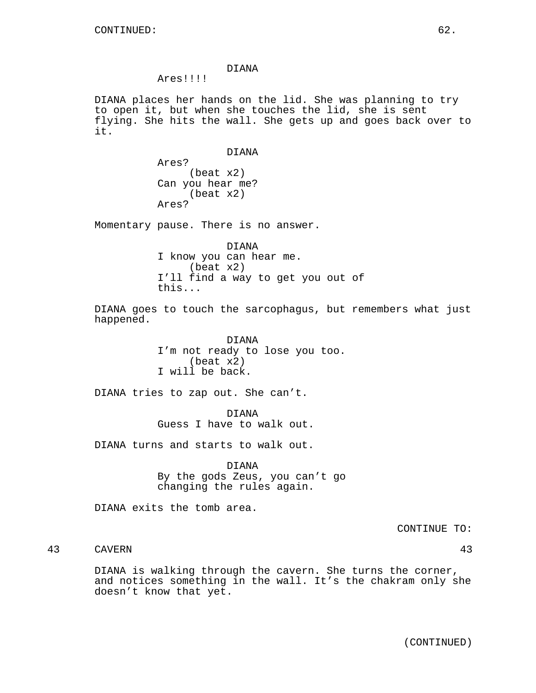## DIANA

Ares!!!!

DIANA places her hands on the lid. She was planning to try to open it, but when she touches the lid, she is sent flying. She hits the wall. She gets up and goes back over to it.

#### DIANA

Ares? (beat x2) Can you hear me? (beat x2) Ares?

Momentary pause. There is no answer.

DIANA I know you can hear me. (beat x2) I'll find a way to get you out of this...

DIANA goes to touch the sarcophagus, but remembers what just happened.

> DIANA I'm not ready to lose you too. (beat x2) I will be back.

DIANA tries to zap out. She can't.

DIANA Guess I have to walk out.

DIANA turns and starts to walk out.

DIANA By the gods Zeus, you can't go changing the rules again.

DIANA exits the tomb area.

CONTINUE TO:

# 43 CAVERN 43

DIANA is walking through the cavern. She turns the corner, and notices something in the wall. It's the chakram only she doesn't know that yet.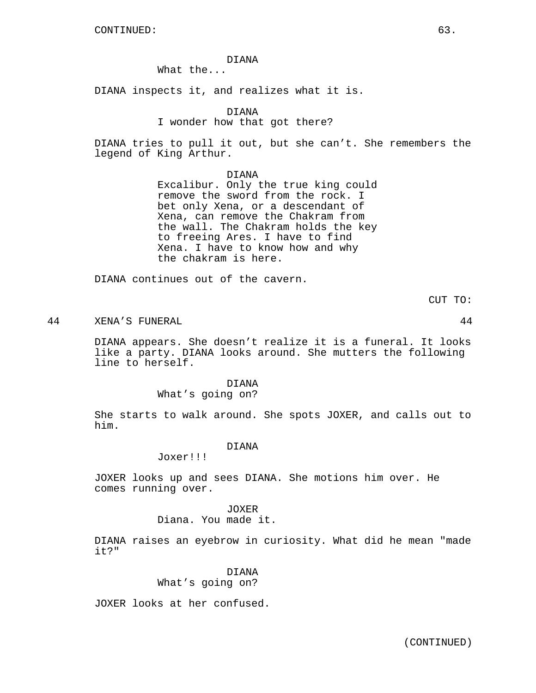## DIANA

What the...

DIANA inspects it, and realizes what it is.

DIANA

## I wonder how that got there?

DIANA tries to pull it out, but she can't. She remembers the legend of King Arthur.

DIANA

Excalibur. Only the true king could remove the sword from the rock. I bet only Xena, or a descendant of Xena, can remove the Chakram from the wall. The Chakram holds the key to freeing Ares. I have to find Xena. I have to know how and why the chakram is here.

DIANA continues out of the cavern.

CUT TO:

44 XENA'S FUNERAL 44

DIANA appears. She doesn't realize it is a funeral. It looks like a party. DIANA looks around. She mutters the following line to herself.

## DIANA

What's going on?

She starts to walk around. She spots JOXER, and calls out to him.

## DIANA

Joxer!!!

JOXER looks up and sees DIANA. She motions him over. He comes running over.

JOXER

Diana. You made it.

DIANA raises an eyebrow in curiosity. What did he mean "made it?"

> DIANA What's going on?

JOXER looks at her confused.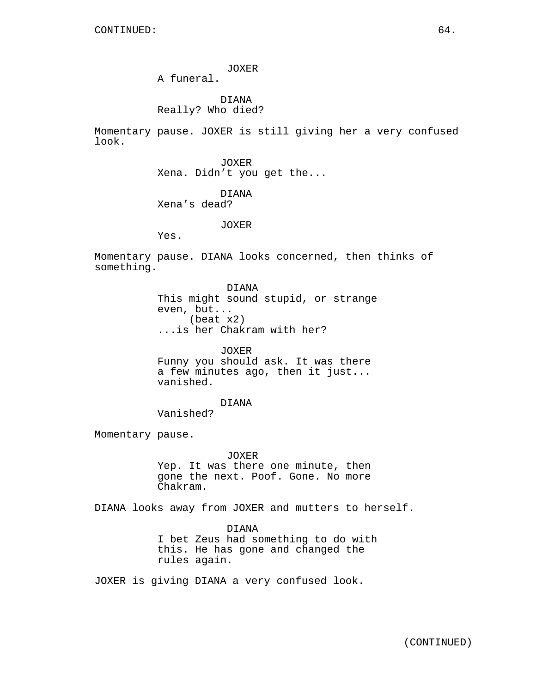JOXER

A funeral.

DIANA Really? Who died?

Momentary pause. JOXER is still giving her a very confused look.

> JOXER Xena. Didn't you get the...

> > DIANA

Xena's dead?

JOXER

Yes.

Momentary pause. DIANA looks concerned, then thinks of something.

> DIANA This might sound stupid, or strange even, but... (beat x2) ...is her Chakram with her?

JOXER Funny you should ask. It was there a few minutes ago, then it just... vanished.

DIANA Vanished?

Momentary pause.

JOXER Yep. It was there one minute, then gone the next. Poof. Gone. No more Chakram.

DIANA looks away from JOXER and mutters to herself.

DIANA I bet Zeus had something to do with this. He has gone and changed the rules again.

JOXER is giving DIANA a very confused look.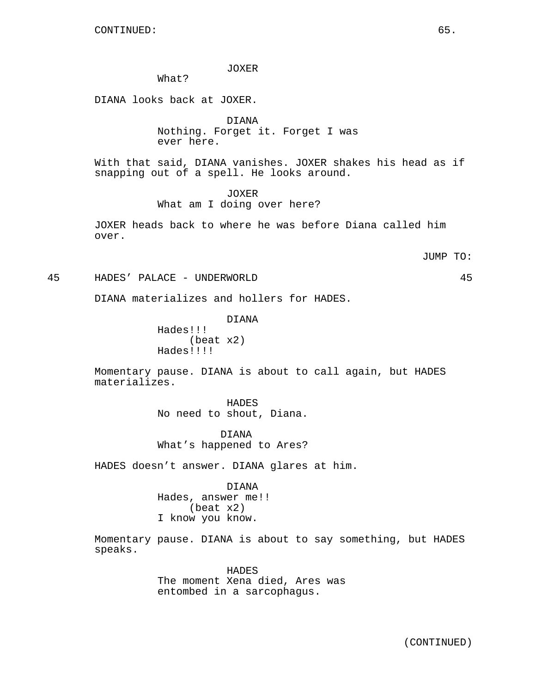JOXER

What?

DIANA looks back at JOXER.

DIANA Nothing. Forget it. Forget I was ever here.

With that said, DIANA vanishes. JOXER shakes his head as if snapping out of a spell. He looks around.

> JOXER What am I doing over here?

JOXER heads back to where he was before Diana called him over.

JUMP TO:

45 HADES' PALACE - UNDERWORLD 45

DIANA materializes and hollers for HADES.

DIANA Hades!!! (beat x2) Hades!!!!

Momentary pause. DIANA is about to call again, but HADES materializes.

> HADES No need to shout, Diana.

> DIANA What's happened to Ares?

HADES doesn't answer. DIANA glares at him.

DIANA Hades, answer me!! (beat x2) I know you know.

Momentary pause. DIANA is about to say something, but HADES speaks.

> **HADES** The moment Xena died, Ares was entombed in a sarcophagus.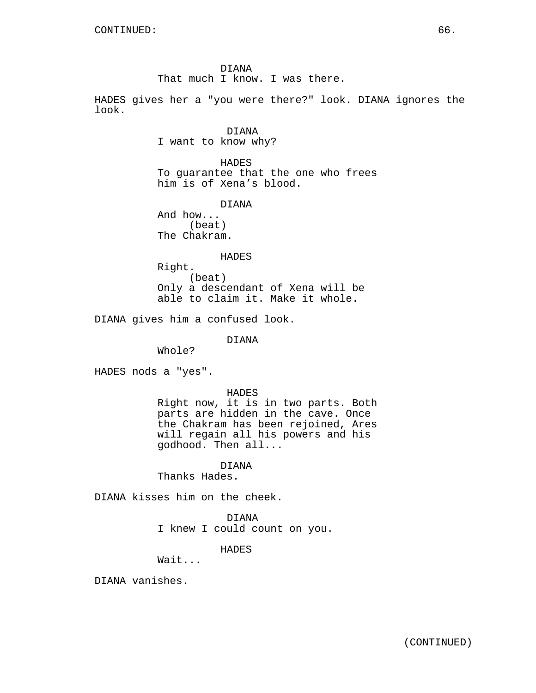DIANA That much I know. I was there.

HADES gives her a "you were there?" look. DIANA ignores the look.

> DIANA I want to know why?

HADES To guarantee that the one who frees him is of Xena's blood.

DIANA

And how... (beat) The Chakram.

#### HADES

Right. (beat) Only a descendant of Xena will be able to claim it. Make it whole.

DIANA gives him a confused look.

DIANA

Whole?

HADES nods a "yes".

HADES

Right now, it is in two parts. Both parts are hidden in the cave. Once the Chakram has been rejoined, Ares will regain all his powers and his godhood. Then all...

## DIANA

Thanks Hades.

DIANA kisses him on the cheek.

DIANA I knew I could count on you.

HADES

Wait...

DIANA vanishes.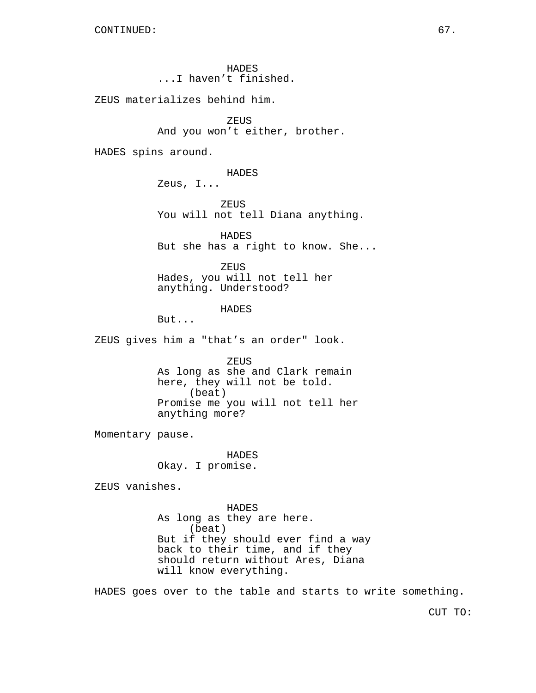HADES ...I haven't finished.

ZEUS materializes behind him.

ZEUS And you won't either, brother.

HADES spins around.

HADES

Zeus, I...

ZEUS You will not tell Diana anything.

HADES But she has a right to know. She...

ZEUS Hades, you will not tell her anything. Understood?

HADES

But...

ZEUS gives him a "that's an order" look.

ZEUS As long as she and Clark remain here, they will not be told. (beat) Promise me you will not tell her anything more?

Momentary pause.

HADES Okay. I promise.

ZEUS vanishes.

HADES As long as they are here. (beat) But if they should ever find a way back to their time, and if they should return without Ares, Diana will know everything.

HADES goes over to the table and starts to write something.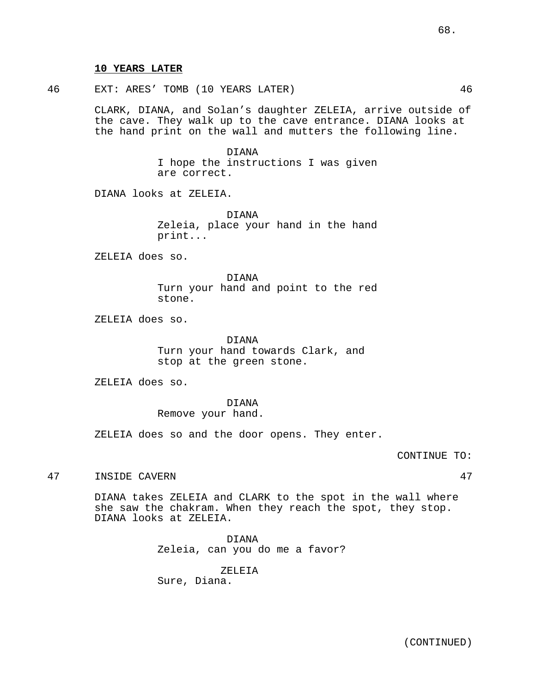## **10 YEARS LATER**

46 EXT: ARES' TOMB (10 YEARS LATER) 46

CLARK, DIANA, and Solan's daughter ZELEIA, arrive outside of the cave. They walk up to the cave entrance. DIANA looks at the hand print on the wall and mutters the following line.

> DIANA I hope the instructions I was given are correct.

DIANA looks at ZELEIA.

DIANA Zeleia, place your hand in the hand print...

ZELEIA does so.

DIANA Turn your hand and point to the red stone.

ZELEIA does so.

DIANA Turn your hand towards Clark, and stop at the green stone.

ZELEIA does so.

DIANA Remove your hand.

ZELEIA does so and the door opens. They enter.

CONTINUE TO:

47 INSIDE CAVERN 47

DIANA takes ZELEIA and CLARK to the spot in the wall where she saw the chakram. When they reach the spot, they stop. DIANA looks at ZELEIA.

> DIANA Zeleia, can you do me a favor?

ZELEIA Sure, Diana.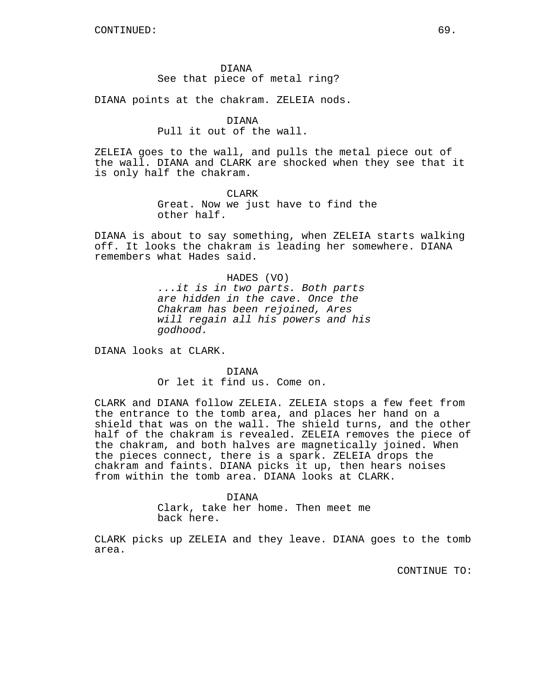#### DIANA

# See that piece of metal ring?

DIANA points at the chakram. ZELEIA nods.

## DIANA

## Pull it out of the wall.

ZELEIA goes to the wall, and pulls the metal piece out of the wall. DIANA and CLARK are shocked when they see that it is only half the chakram.

# CLARK

Great. Now we just have to find the other half.

DIANA is about to say something, when ZELEIA starts walking off. It looks the chakram is leading her somewhere. DIANA remembers what Hades said.

#### HADES (VO)

...it is in two parts. Both parts are hidden in the cave. Once the Chakram has been rejoined, Ares will regain all his powers and his godhood.

DIANA looks at CLARK.

DIANA Or let it find us. Come on.

CLARK and DIANA follow ZELEIA. ZELEIA stops a few feet from the entrance to the tomb area, and places her hand on a shield that was on the wall. The shield turns, and the other half of the chakram is revealed. ZELEIA removes the piece of the chakram, and both halves are magnetically joined. When the pieces connect, there is a spark. ZELEIA drops the chakram and faints. DIANA picks it up, then hears noises from within the tomb area. DIANA looks at CLARK.

## DIANA

Clark, take her home. Then meet me back here.

CLARK picks up ZELEIA and they leave. DIANA goes to the tomb area.

CONTINUE TO: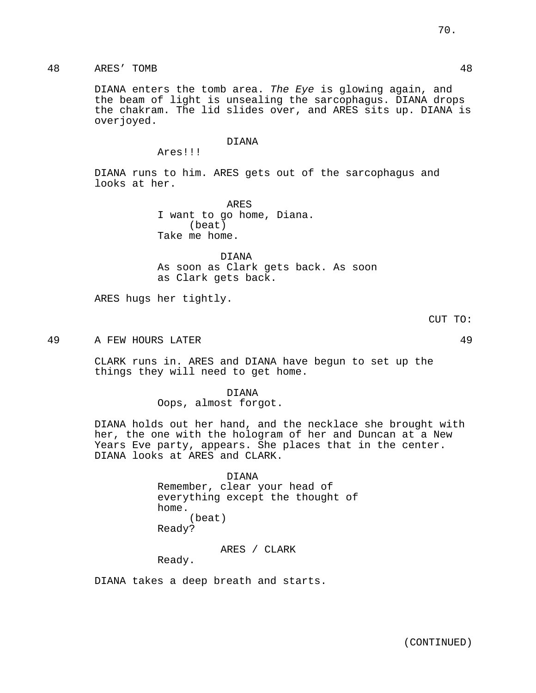DIANA enters the tomb area. The Eye is glowing again, and the beam of light is unsealing the sarcophagus. DIANA drops the chakram. The lid slides over, and ARES sits up. DIANA is overjoyed.

## DIANA

Ares!!!

DIANA runs to him. ARES gets out of the sarcophagus and looks at her.

> ARES I want to go home, Diana. (beat) Take me home.

DIANA As soon as Clark gets back. As soon as Clark gets back.

ARES hugs her tightly.

CUT TO:

49 A FEW HOURS LATER 49

CLARK runs in. ARES and DIANA have begun to set up the things they will need to get home.

> DIANA Oops, almost forgot.

DIANA holds out her hand, and the necklace she brought with her, the one with the hologram of her and Duncan at a New Years Eve party, appears. She places that in the center. DIANA looks at ARES and CLARK.

> DIANA Remember, clear your head of everything except the thought of home. (beat) Ready?

> > ARES / CLARK

Ready.

DIANA takes a deep breath and starts.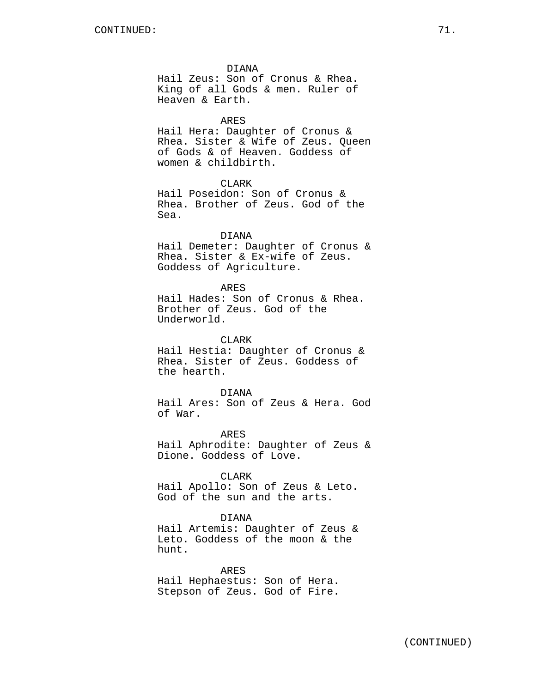DIANA

Hail Zeus: Son of Cronus & Rhea. King of all Gods & men. Ruler of Heaven & Earth.

ARES

Hail Hera: Daughter of Cronus & Rhea. Sister & Wife of Zeus. Queen of Gods & of Heaven. Goddess of women & childbirth.

CLARK

Hail Poseidon: Son of Cronus & Rhea. Brother of Zeus. God of the Sea.

## DIANA

Hail Demeter: Daughter of Cronus & Rhea. Sister & Ex-wife of Zeus. Goddess of Agriculture.

#### ARES

Hail Hades: Son of Cronus & Rhea. Brother of Zeus. God of the Underworld.

CLARK

Hail Hestia: Daughter of Cronus & Rhea. Sister of Zeus. Goddess of the hearth.

DIANA

Hail Ares: Son of Zeus & Hera. God of War.

ARES Hail Aphrodite: Daughter of Zeus & Dione. Goddess of Love.

## CLARK

Hail Apollo: Son of Zeus & Leto. God of the sun and the arts.

## DIANA

Hail Artemis: Daughter of Zeus & Leto. Goddess of the moon & the hunt.

ARES Hail Hephaestus: Son of Hera. Stepson of Zeus. God of Fire.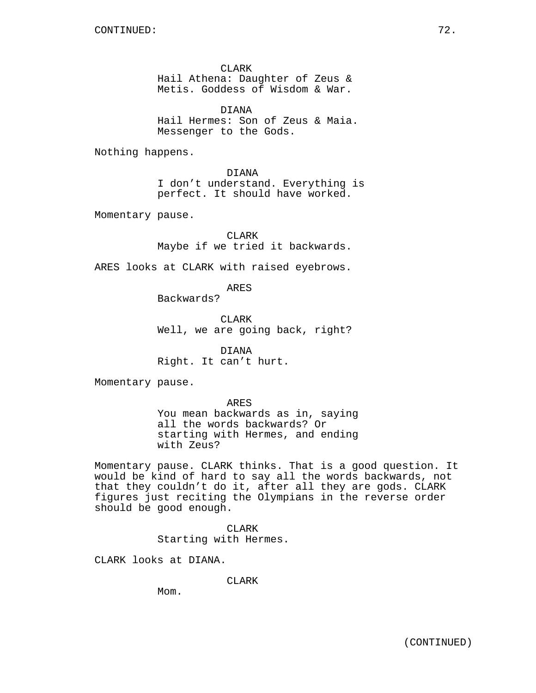CLARK Hail Athena: Daughter of Zeus & Metis. Goddess of Wisdom & War.

DIANA Hail Hermes: Son of Zeus & Maia. Messenger to the Gods.

Nothing happens.

DIANA I don't understand. Everything is perfect. It should have worked.

Momentary pause.

CLARK Maybe if we tried it backwards.

ARES looks at CLARK with raised eyebrows.

ARES

Backwards?

**CLARK** Well, we are going back, right?

DIANA Right. It can't hurt.

Momentary pause.

ARES You mean backwards as in, saying all the words backwards? Or starting with Hermes, and ending with Zeus?

Momentary pause. CLARK thinks. That is a good question. It would be kind of hard to say all the words backwards, not that they couldn't do it, after all they are gods. CLARK figures just reciting the Olympians in the reverse order should be good enough.

> CLARK Starting with Hermes.

CLARK looks at DIANA.

CLARK

Mom.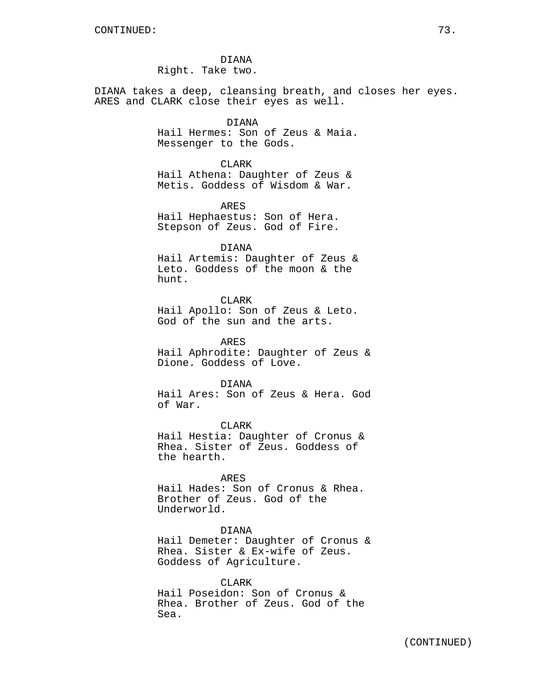DIANA Right. Take two.

DIANA takes a deep, cleansing breath, and closes her eyes. ARES and CLARK close their eyes as well.

# DIANA

Hail Hermes: Son of Zeus & Maia. Messenger to the Gods.

CLARK

Hail Athena: Daughter of Zeus & Metis. Goddess of Wisdom & War.

ARES Hail Hephaestus: Son of Hera. Stepson of Zeus. God of Fire.

DIANA

Hail Artemis: Daughter of Zeus & Leto. Goddess of the moon & the hunt.

CLARK

Hail Apollo: Son of Zeus & Leto. God of the sun and the arts.

ARES Hail Aphrodite: Daughter of Zeus & Dione. Goddess of Love.

DIANA

Hail Ares: Son of Zeus & Hera. God of War.

CLARK Hail Hestia: Daughter of Cronus & Rhea. Sister of Zeus. Goddess of the hearth.

ARES

Hail Hades: Son of Cronus & Rhea. Brother of Zeus. God of the Underworld.

#### DIANA

Hail Demeter: Daughter of Cronus & Rhea. Sister & Ex-wife of Zeus. Goddess of Agriculture.

CLARK Hail Poseidon: Son of Cronus & Rhea. Brother of Zeus. God of the Sea.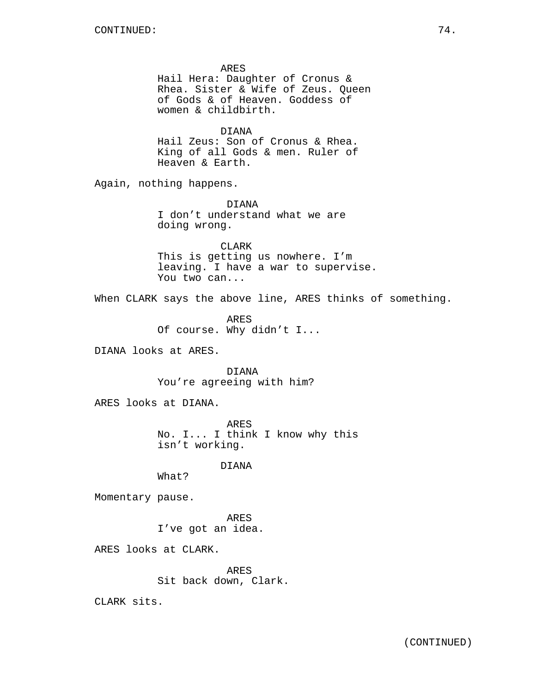ARES Hail Hera: Daughter of Cronus & Rhea. Sister & Wife of Zeus. Queen of Gods & of Heaven. Goddess of women & childbirth. DIANA Hail Zeus: Son of Cronus & Rhea. King of all Gods & men. Ruler of Heaven & Earth. Again, nothing happens. DIANA I don't understand what we are doing wrong. CLARK This is getting us nowhere. I'm leaving. I have a war to supervise. You two can... When CLARK says the above line, ARES thinks of something. ARES Of course. Why didn't I... DIANA looks at ARES. DIANA You're agreeing with him? ARES looks at DIANA. ARES No. I... I think I know why this isn't working. DIANA What? Momentary pause. ARES I've got an idea. ARES looks at CLARK. ARES Sit back down, Clark. CLARK sits.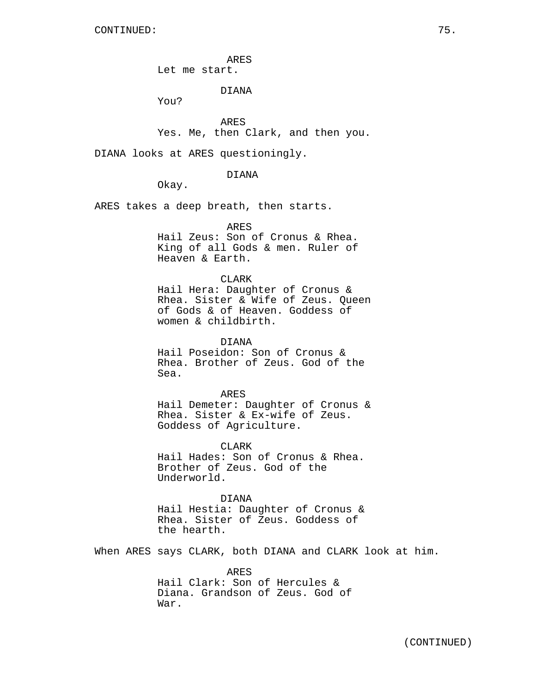ARES

Let me start.

DIANA

You?

ARES Yes. Me, then Clark, and then you.

DIANA looks at ARES questioningly.

DIANA

Okay.

ARES takes a deep breath, then starts.

ARES

Hail Zeus: Son of Cronus & Rhea. King of all Gods & men. Ruler of Heaven & Earth.

CLARK

Hail Hera: Daughter of Cronus & Rhea. Sister & Wife of Zeus. Queen of Gods & of Heaven. Goddess of women & childbirth.

DIANA Hail Poseidon: Son of Cronus & Rhea. Brother of Zeus. God of the Sea.

ARES Hail Demeter: Daughter of Cronus & Rhea. Sister & Ex-wife of Zeus. Goddess of Agriculture.

CLARK Hail Hades: Son of Cronus & Rhea. Brother of Zeus. God of the Underworld.

DIANA Hail Hestia: Daughter of Cronus & Rhea. Sister of Zeus. Goddess of the hearth.

When ARES says CLARK, both DIANA and CLARK look at him.

ARES Hail Clark: Son of Hercules & Diana. Grandson of Zeus. God of War.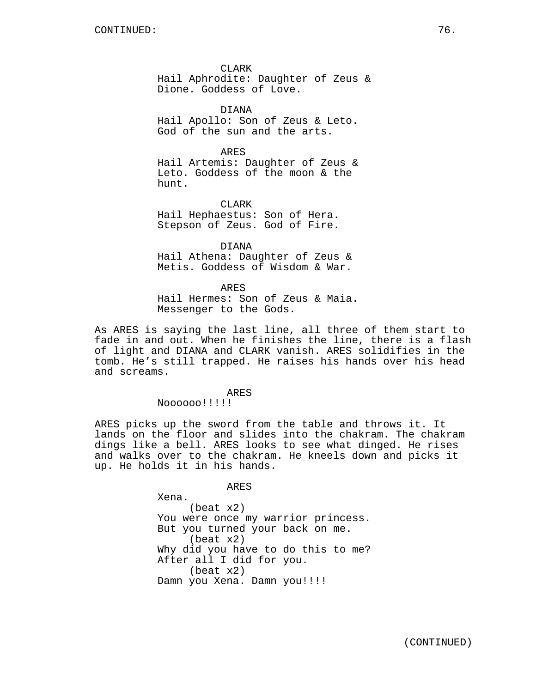CLARK Hail Aphrodite: Daughter of Zeus & Dione. Goddess of Love.

DIANA Hail Apollo: Son of Zeus & Leto. God of the sun and the arts.

ARES Hail Artemis: Daughter of Zeus & Leto. Goddess of the moon & the hunt.

CLARK Hail Hephaestus: Son of Hera. Stepson of Zeus. God of Fire.

DIANA Hail Athena: Daughter of Zeus & Metis. Goddess of Wisdom & War.

ARES Hail Hermes: Son of Zeus & Maia. Messenger to the Gods.

As ARES is saying the last line, all three of them start to fade in and out. When he finishes the line, there is a flash of light and DIANA and CLARK vanish. ARES solidifies in the tomb. He's still trapped. He raises his hands over his head and screams.

ARES

Noooooo!!!!!

ARES picks up the sword from the table and throws it. It lands on the floor and slides into the chakram. The chakram dings like a bell. ARES looks to see what dinged. He rises and walks over to the chakram. He kneels down and picks it up. He holds it in his hands.

ARES

Xena. (beat x2) You were once my warrior princess. But you turned your back on me. (beat x2) Why did you have to do this to me? After all I did for you. (beat x2) Damn you Xena. Damn you!!!!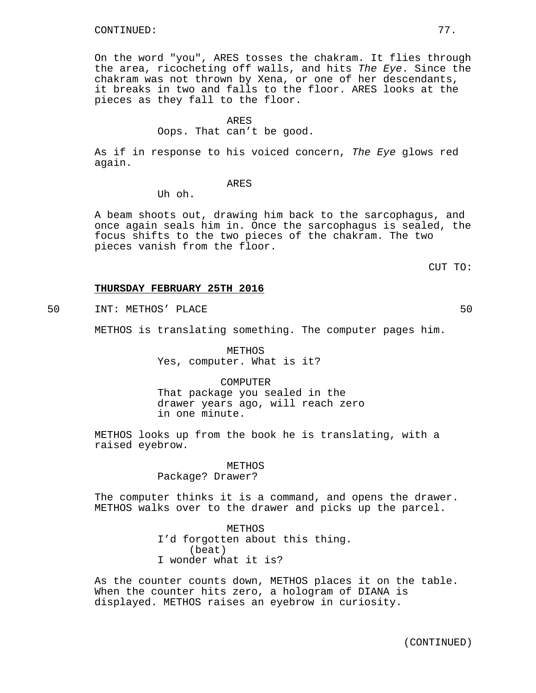On the word "you", ARES tosses the chakram. It flies through the area, ricocheting off walls, and hits The Eye. Since the chakram was not thrown by Xena, or one of her descendants, it breaks in two and falls to the floor. ARES looks at the pieces as they fall to the floor.

# ARES

Oops. That can't be good.

As if in response to his voiced concern, The Eye glows red again.

### ARES

Uh oh.

A beam shoots out, drawing him back to the sarcophagus, and once again seals him in. Once the sarcophagus is sealed, the focus shifts to the two pieces of the chakram. The two pieces vanish from the floor.

CUT TO:

## **THURSDAY FEBRUARY 25TH 2016**

50 INT: METHOS' PLACE 50

METHOS is translating something. The computer pages him.

METHOS Yes, computer. What is it?

COMPUTER That package you sealed in the drawer years ago, will reach zero in one minute.

METHOS looks up from the book he is translating, with a raised eyebrow.

# METHOS

# Package? Drawer?

The computer thinks it is a command, and opens the drawer. METHOS walks over to the drawer and picks up the parcel.

> METHOS I'd forgotten about this thing. (beat) I wonder what it is?

As the counter counts down, METHOS places it on the table. When the counter hits zero, a hologram of DIANA is displayed. METHOS raises an eyebrow in curiosity.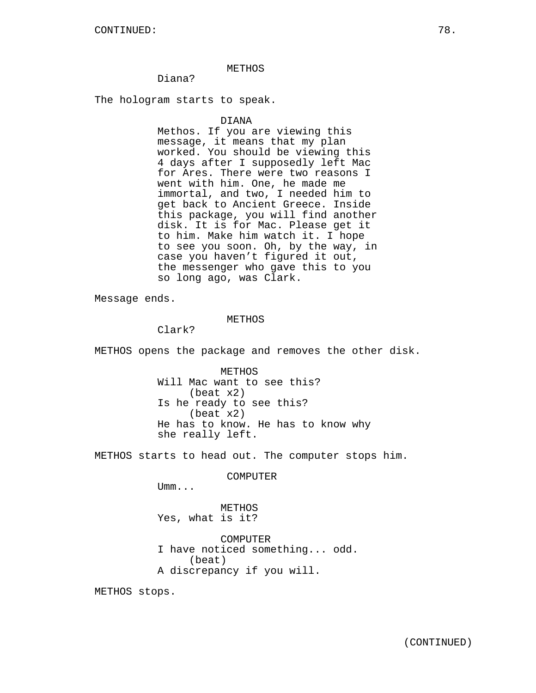# METHOS

# Diana?

The hologram starts to speak.

### DIANA

Methos. If you are viewing this message, it means that my plan worked. You should be viewing this 4 days after I supposedly left Mac for Ares. There were two reasons I went with him. One, he made me immortal, and two, I needed him to get back to Ancient Greece. Inside this package, you will find another disk. It is for Mac. Please get it to him. Make him watch it. I hope to see you soon. Oh, by the way, in case you haven't figured it out, the messenger who gave this to you so long ago, was Clark.

Message ends.

## METHOS

Clark?

METHOS opens the package and removes the other disk.

METHOS Will Mac want to see this? (beat x2) Is he ready to see this? (beat x2) He has to know. He has to know why she really left.

METHOS starts to head out. The computer stops him.

COMPUTER

Umm...

METHOS Yes, what is it?

COMPUTER I have noticed something... odd. (beat) A discrepancy if you will.

METHOS stops.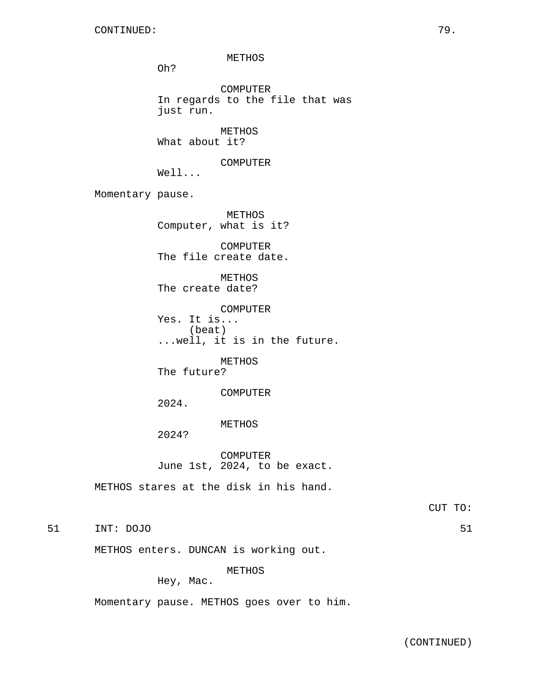METHOS Oh? COMPUTER In regards to the file that was just run. METHOS What about it? COMPUTER Well... Momentary pause. METHOS Computer, what is it? COMPUTER The file create date. METHOS The create date? COMPUTER Yes. It is... (beat) ...well, it is in the future. METHOS The future? COMPUTER 2024. METHOS 2024? COMPUTER June 1st, 2024, to be exact. METHOS stares at the disk in his hand.

CUT TO:

51 INT: DOJO 51

METHOS enters. DUNCAN is working out.

METHOS

Hey, Mac.

Momentary pause. METHOS goes over to him.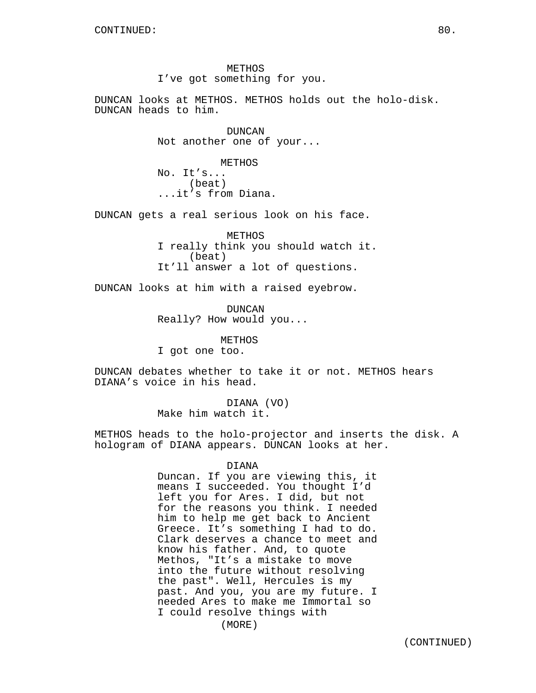METHOS I've got something for you.

DUNCAN looks at METHOS. METHOS holds out the holo-disk. DUNCAN heads to him.

> DUNCAN Not another one of your...

METHOS No. It's... (beat) ...it's from Diana.

DUNCAN gets a real serious look on his face.

METHOS I really think you should watch it. (beat) It'll answer a lot of questions.

DUNCAN looks at him with a raised eyebrow.

DUNCAN Really? How would you...

METHOS I got one too.

DUNCAN debates whether to take it or not. METHOS hears DIANA's voice in his head.

> DIANA (VO) Make him watch it.

METHOS heads to the holo-projector and inserts the disk. A hologram of DIANA appears. DUNCAN looks at her.

#### DIANA

Duncan. If you are viewing this, it means I succeeded. You thought I'd left you for Ares. I did, but not for the reasons you think. I needed him to help me get back to Ancient Greece. It's something I had to do. Clark deserves a chance to meet and know his father. And, to quote Methos, "It's a mistake to move into the future without resolving the past". Well, Hercules is my past. And you, you are my future. I needed Ares to make me Immortal so I could resolve things with

(MORE)

(CONTINUED)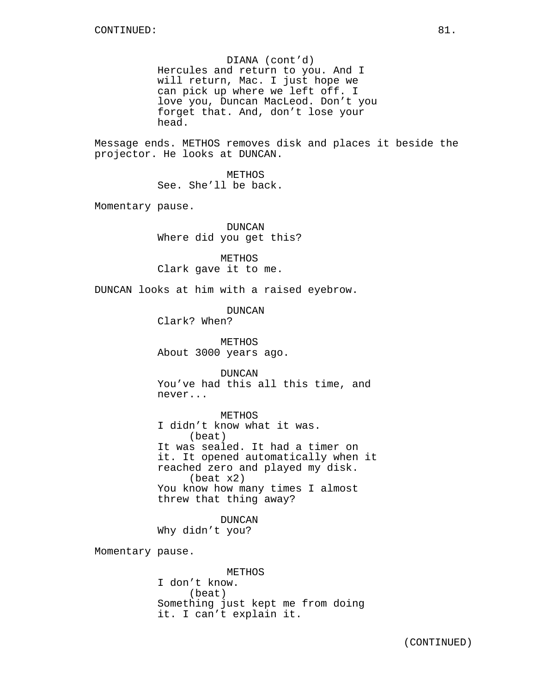DIANA (cont'd) Hercules and return to you. And I will return, Mac. I just hope we can pick up where we left off. I love you, Duncan MacLeod. Don't you forget that. And, don't lose your head.

Message ends. METHOS removes disk and places it beside the projector. He looks at DUNCAN.

> METHOS See. She'll be back.

Momentary pause.

DUNCAN Where did you get this?

METHOS Clark gave it to me.

DUNCAN looks at him with a raised eyebrow.

DUNCAN

Clark? When?

METHOS About 3000 years ago.

DUNCAN You've had this all this time, and never...

METHOS I didn't know what it was. (beat) It was sealed. It had a timer on it. It opened automatically when it reached zero and played my disk. (beat x2) You know how many times I almost threw that thing away?

DUNCAN Why didn't you?

Momentary pause.

METHOS I don't know. (beat) Something just kept me from doing it. I can't explain it.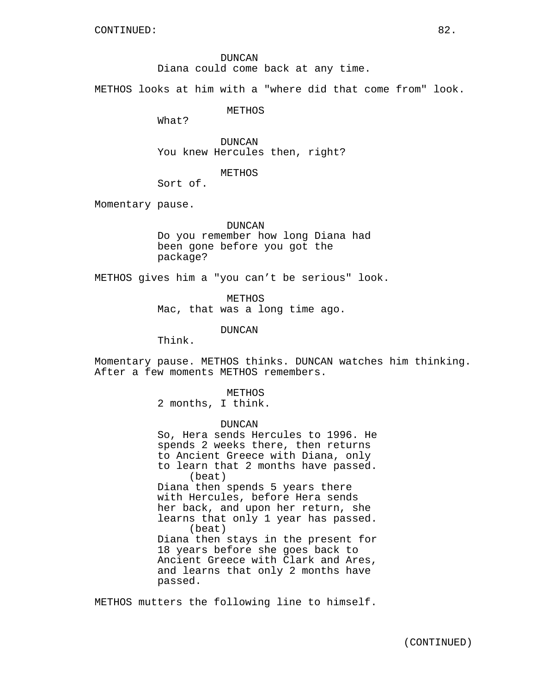DUNCAN Diana could come back at any time.

METHOS looks at him with a "where did that come from" look.

METHOS

What?

DUNCAN You knew Hercules then, right?

METHOS

Sort of.

Momentary pause.

DUNCAN Do you remember how long Diana had been gone before you got the package?

METHOS gives him a "you can't be serious" look.

METHOS

Mac, that was a long time ago.

DUNCAN

Think.

Momentary pause. METHOS thinks. DUNCAN watches him thinking. After a few moments METHOS remembers.

METHOS

2 months, I think.

DUNCAN So, Hera sends Hercules to 1996. He spends 2 weeks there, then returns to Ancient Greece with Diana, only to learn that 2 months have passed. (beat) Diana then spends 5 years there with Hercules, before Hera sends her back, and upon her return, she learns that only 1 year has passed. (beat) Diana then stays in the present for 18 years before she goes back to Ancient Greece with Clark and Ares, and learns that only 2 months have passed.

METHOS mutters the following line to himself.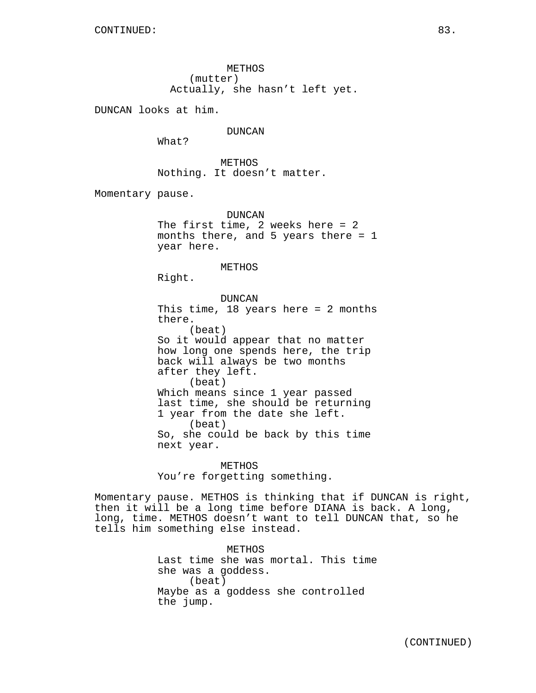METHOS (mutter) Actually, she hasn't left yet.

DUNCAN looks at him.

DUNCAN

What?

METHOS Nothing. It doesn't matter.

Momentary pause.

DUNCAN The first time, 2 weeks here = 2 months there, and 5 years there = 1 year here.

METHOS

Right.

DUNCAN This time, 18 years here = 2 months there. (beat) So it would appear that no matter how long one spends here, the trip back will always be two months after they left. (beat) Which means since 1 year passed last time, she should be returning 1 year from the date she left. (beat) So, she could be back by this time next year.

METHOS You're forgetting something.

Momentary pause. METHOS is thinking that if DUNCAN is right, then it will be a long time before DIANA is back. A long, long, time. METHOS doesn't want to tell DUNCAN that, so he tells him something else instead.

> METHOS Last time she was mortal. This time she was a goddess. (beat) Maybe as a goddess she controlled the jump.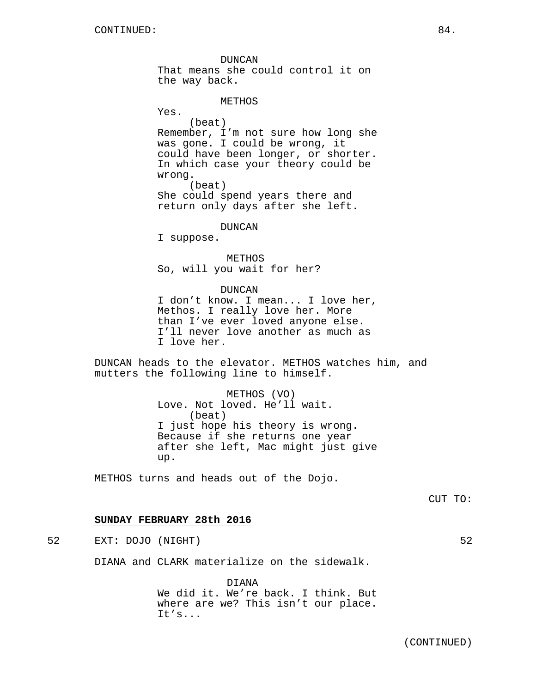DUNCAN That means she could control it on the way back.

# METHOS

Yes. (beat) Remember, I'm not sure how long she was gone. I could be wrong, it could have been longer, or shorter. In which case your theory could be wrong. (beat) She could spend years there and return only days after she left.

DUNCAN

I suppose.

METHOS So, will you wait for her?

### DUNCAN

I don't know. I mean... I love her, Methos. I really love her. More than I've ever loved anyone else. I'll never love another as much as I love her.

DUNCAN heads to the elevator. METHOS watches him, and mutters the following line to himself.

> METHOS (VO) Love. Not loved. He'll wait. (beat) I just hope his theory is wrong. Because if she returns one year after she left, Mac might just give up.

METHOS turns and heads out of the Dojo.

# **SUNDAY FEBRUARY 28th 2016**

52 EXT: DOJO (NIGHT) 52

DIANA and CLARK materialize on the sidewalk.

DIANA We did it. We're back. I think. But where are we? This isn't our place. It's...

(CONTINUED)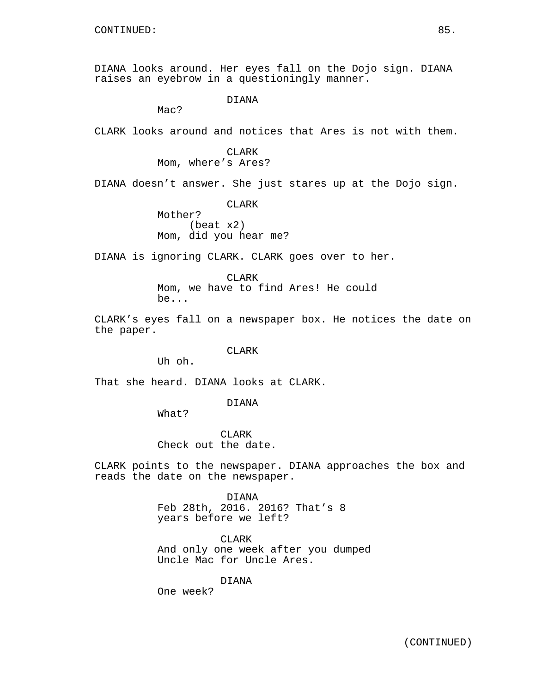DIANA looks around. Her eyes fall on the Dojo sign. DIANA raises an eyebrow in a questioningly manner.

DIANA

Mac?

CLARK looks around and notices that Ares is not with them.

# CLARK

Mom, where's Ares?

DIANA doesn't answer. She just stares up at the Dojo sign.

CLARK

Mother? (beat x2) Mom, did you hear me?

DIANA is ignoring CLARK. CLARK goes over to her.

**CLARK** Mom, we have to find Ares! He could be...

CLARK's eyes fall on a newspaper box. He notices the date on the paper.

CLARK

Uh oh.

That she heard. DIANA looks at CLARK.

DIANA

What?

CLARK Check out the date.

CLARK points to the newspaper. DIANA approaches the box and reads the date on the newspaper.

> DIANA Feb 28th, 2016. 2016? That's 8 years before we left?

CLARK And only one week after you dumped Uncle Mac for Uncle Ares.

DIANA

One week?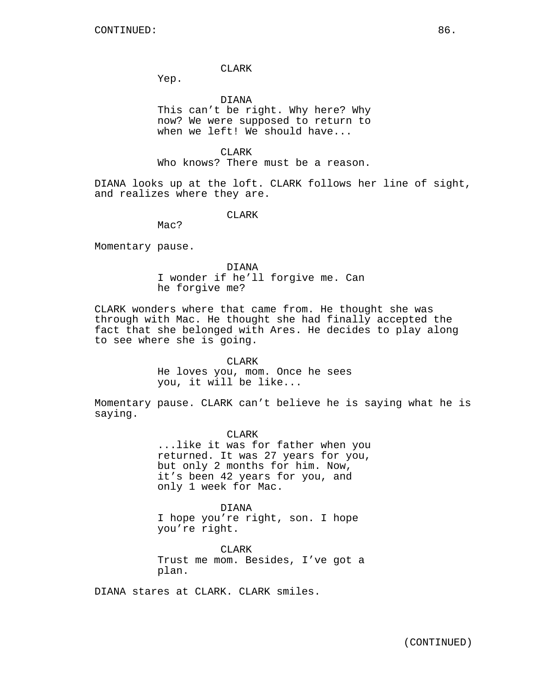### CLARK

Yep.

## DIANA

This can't be right. Why here? Why now? We were supposed to return to when we left! We should have...

CLARK

Who knows? There must be a reason.

DIANA looks up at the loft. CLARK follows her line of sight, and realizes where they are.

CLARK

Mac?

Momentary pause.

DIANA I wonder if he'll forgive me. Can he forgive me?

CLARK wonders where that came from. He thought she was through with Mac. He thought she had finally accepted the fact that she belonged with Ares. He decides to play along to see where she is going.

CLARK

He loves you, mom. Once he sees you, it will be like...

Momentary pause. CLARK can't believe he is saying what he is saying.

> CLARK ...like it was for father when you returned. It was 27 years for you, but only 2 months for him. Now, it's been 42 years for you, and only 1 week for Mac.

DIANA I hope you're right, son. I hope you're right.

CLARK Trust me mom. Besides, I've got a plan.

DIANA stares at CLARK. CLARK smiles.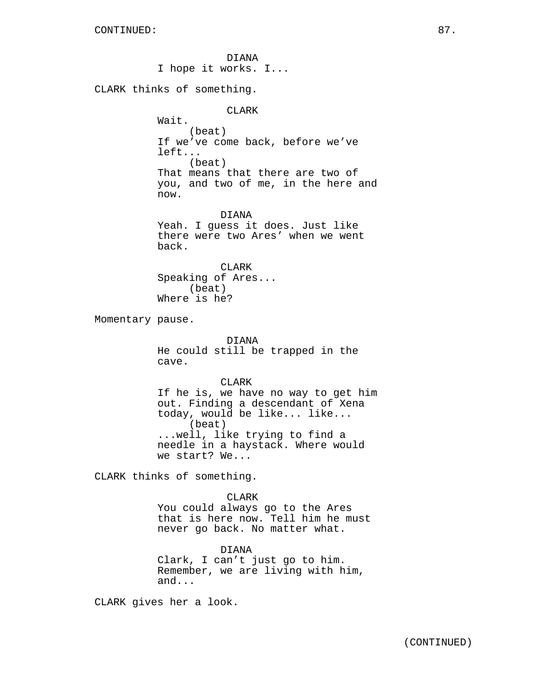DIANA I hope it works. I... CLARK thinks of something. CLARK Wait. (beat) If we've come back, before we've left... (beat) That means that there are two of you, and two of me, in the here and now. DIANA Yeah. I guess it does. Just like there were two Ares' when we went back. CLARK Speaking of Ares... (beat) Where is he? Momentary pause. DIANA He could still be trapped in the cave. CLARK If he is, we have no way to get him out. Finding a descendant of Xena today, would be like... like... (beat) ...well, like trying to find a needle in a haystack. Where would we start? We... CLARK thinks of something. CLARK You could always go to the Ares that is here now. Tell him he must never go back. No matter what.

> DIANA Clark, I can't just go to him. Remember, we are living with him, and...

CLARK gives her a look.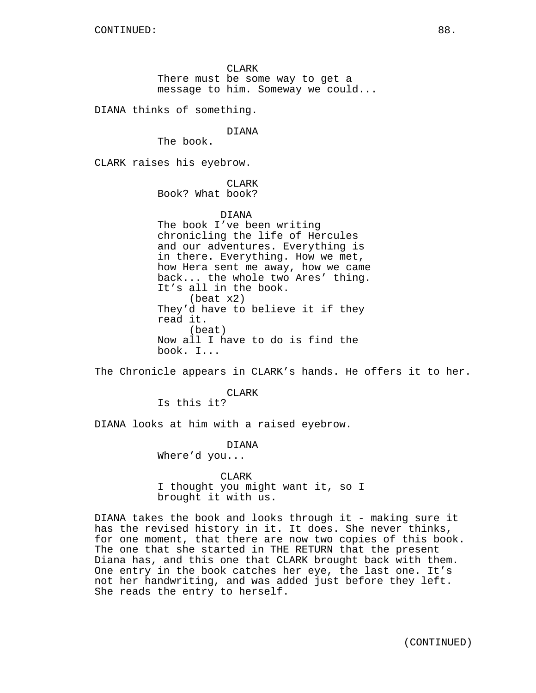CLARK There must be some way to get a message to him. Someway we could...

DIANA thinks of something.

DIANA

The book.

CLARK raises his eyebrow.

CLARK Book? What book?

## DIANA

The book I've been writing chronicling the life of Hercules and our adventures. Everything is in there. Everything. How we met, how Hera sent me away, how we came back... the whole two Ares' thing. It's all in the book. (beat x2) They'd have to believe it if they read it. (beat) Now all I have to do is find the book. I...

The Chronicle appears in CLARK's hands. He offers it to her.

CLARK

Is this it?

DIANA looks at him with a raised eyebrow.

DIANA

Where'd you...

CLARK

I thought you might want it, so I brought it with us.

DIANA takes the book and looks through it - making sure it has the revised history in it. It does. She never thinks, for one moment, that there are now two copies of this book. The one that she started in THE RETURN that the present Diana has, and this one that CLARK brought back with them. One entry in the book catches her eye, the last one. It's not her handwriting, and was added just before they left. She reads the entry to herself.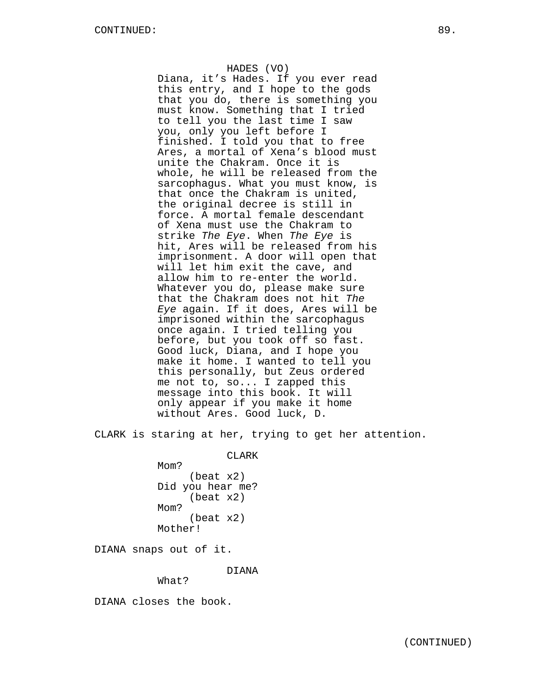# HADES (VO)

Diana, it's Hades. If you ever read this entry, and I hope to the gods that you do, there is something you must know. Something that I tried to tell you the last time I saw you, only you left before I finished. I told you that to free Ares, a mortal of Xena's blood must unite the Chakram. Once it is whole, he will be released from the sarcophagus. What you must know, is that once the Chakram is united, the original decree is still in force. A mortal female descendant of Xena must use the Chakram to strike The Eye. When The Eye is hit, Ares will be released from his imprisonment. A door will open that will let him exit the cave, and allow him to re-enter the world. Whatever you do, please make sure that the Chakram does not hit The Eye again. If it does, Ares will be imprisoned within the sarcophagus once again. I tried telling you before, but you took off so fast. Good luck, Diana, and I hope you make it home. I wanted to tell you this personally, but Zeus ordered me not to, so... I zapped this message into this book. It will only appear if you make it home without Ares. Good luck, D.

CLARK is staring at her, trying to get her attention.

CLARK

Mom? (beat x2) Did you hear me? (beat x2) M<sub>O</sub>m? (beat x2) Mother!

DIANA snaps out of it.

DIANA

What?

DIANA closes the book.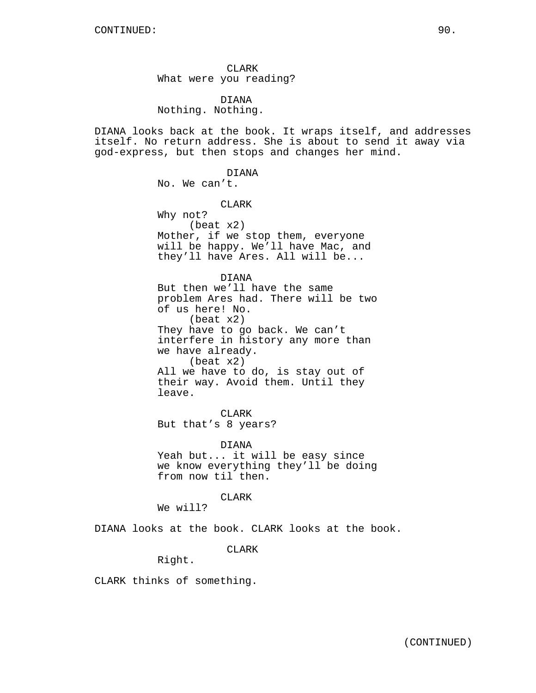CLARK What were you reading?

DIANA Nothing. Nothing.

DIANA looks back at the book. It wraps itself, and addresses itself. No return address. She is about to send it away via god-express, but then stops and changes her mind.

> DIANA No. We can't.

CLARK Why not?

(beat x2) Mother, if we stop them, everyone will be happy. We'll have Mac, and they'll have Ares. All will be...

DIANA But then we'll have the same problem Ares had. There will be two of us here! No. (beat x2) They have to go back. We can't interfere in history any more than we have already. (beat x2) All we have to do, is stay out of

their way. Avoid them. Until they leave.

CLARK But that's 8 years?

DIANA Yeah but... it will be easy since we know everything they'll be doing from now til then.

CLARK

We will?

DIANA looks at the book. CLARK looks at the book.

CLARK

Right.

CLARK thinks of something.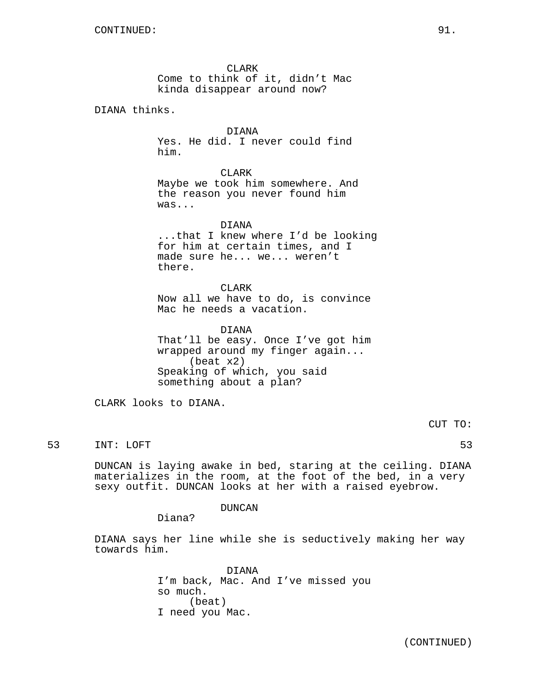CLARK Come to think of it, didn't Mac kinda disappear around now?

DIANA thinks.

DIANA Yes. He did. I never could find him.

CLARK

Maybe we took him somewhere. And the reason you never found him was...

DIANA ...that I knew where I'd be looking for him at certain times, and I made sure he... we... weren't there.

CLARK Now all we have to do, is convince Mac he needs a vacation.

DIANA That'll be easy. Once I've got him wrapped around my finger again... (beat x2) Speaking of which, you said something about a plan?

CLARK looks to DIANA.

CUT TO:

53 INT: LOFT 53

DUNCAN is laying awake in bed, staring at the ceiling. DIANA materializes in the room, at the foot of the bed, in a very sexy outfit. DUNCAN looks at her with a raised eyebrow.

DUNCAN

Diana?

DIANA says her line while she is seductively making her way towards him.

> DIANA I'm back, Mac. And I've missed you so much. (beat) I need you Mac.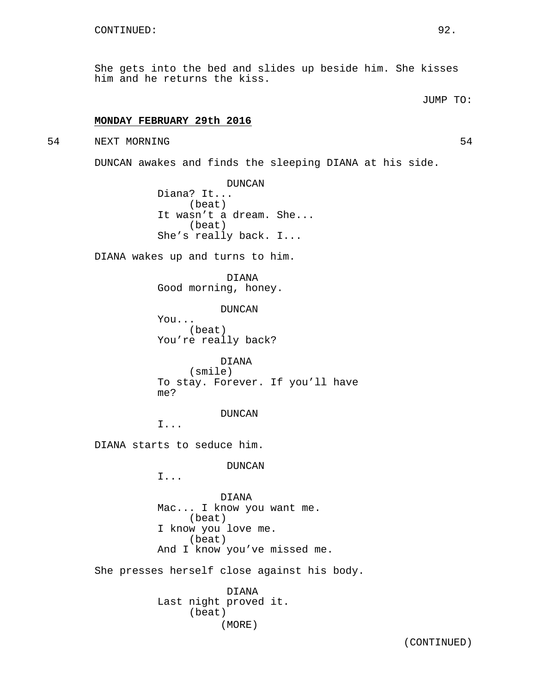She gets into the bed and slides up beside him. She kisses him and he returns the kiss.

# JUMP TO:

# **MONDAY FEBRUARY 29th 2016**

## 54 NEXT MORNING 54

DUNCAN awakes and finds the sleeping DIANA at his side.

DUNCAN Diana? It... (beat) It wasn't a dream. She... (beat) She's really back. I...

DIANA wakes up and turns to him.

DIANA Good morning, honey.

DUNCAN

You... (beat) You're really back?

DIANA (smile) To stay. Forever. If you'll have me?

#### DUNCAN

I...

DIANA starts to seduce him.

DUNCAN

I...

DIANA Mac... I know you want me. (beat) I know you love me. (beat) And I know you've missed me.

She presses herself close against his body.

DIANA Last night proved it. (beat) (MORE)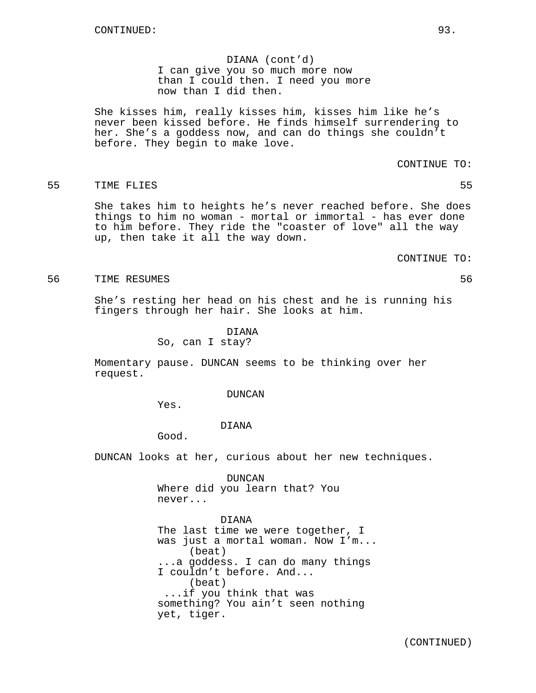DIANA (cont'd) I can give you so much more now than I could then. I need you more now than I did then.

She kisses him, really kisses him, kisses him like he's never been kissed before. He finds himself surrendering to her. She's a goddess now, and can do things she couldn't before. They begin to make love.

CONTINUE TO:

# 55 TIME FLIES 55

She takes him to heights he's never reached before. She does things to him no woman - mortal or immortal - has ever done to him before. They ride the "coaster of love" all the way up, then take it all the way down.

CONTINUE TO:

#### 56 TIME RESUMES 56

She's resting her head on his chest and he is running his fingers through her hair. She looks at him.

> DIANA So, can I stay?

Momentary pause. DUNCAN seems to be thinking over her request.

#### DUNCAN

Yes.

#### DIANA

Good.

DUNCAN looks at her, curious about her new techniques.

DUNCAN Where did you learn that? You never...

DIANA

The last time we were together, I was just a mortal woman. Now I'm... (beat) ...a goddess. I can do many things I couldn't before. And... (beat) ...if you think that was something? You ain't seen nothing yet, tiger.